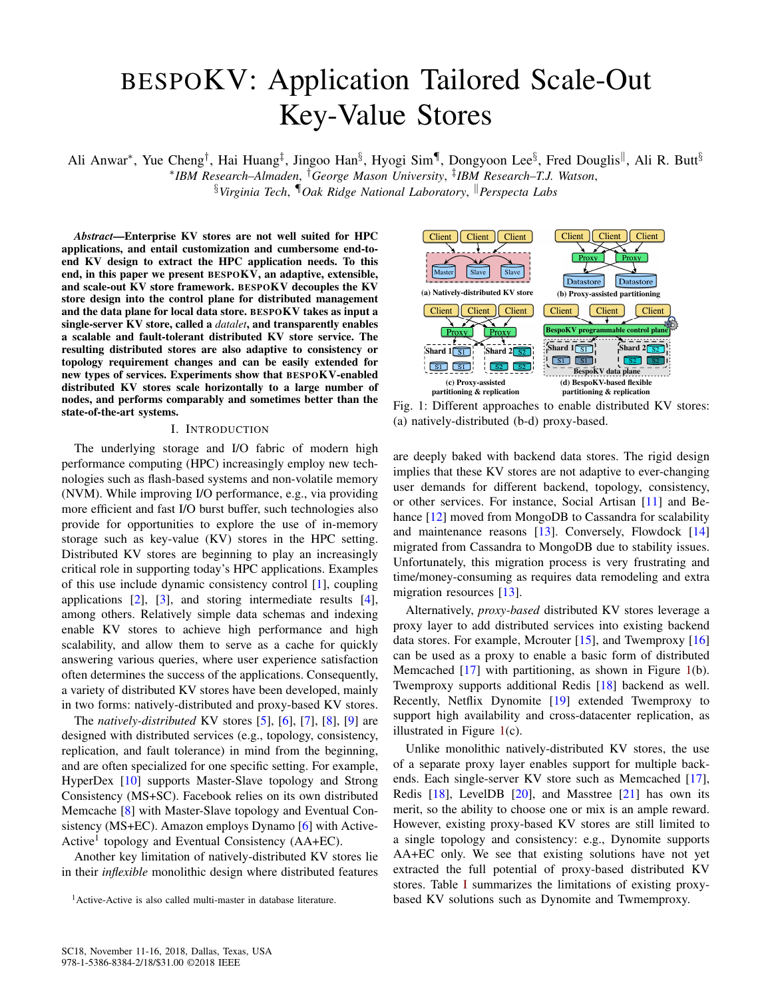# BESPOKV: Application Tailored Scale-Out Key-Value Stores

Ali Anwar<sup>∗</sup>, Yue Cheng<sup>†</sup>, Hai Huang<sup>‡</sup>, Jingoo Han<sup>§</sup>, Hyogi Sim¶, Dongyoon Lee§, Fred Douglis<sup>||</sup>, Ali R. Butt<sup>§</sup> ∗ *IBM Research–Almaden*, †*George Mason University*, ‡ *IBM Research–T.J. Watson*, §*Virginia Tech*, ¶*Oak Ridge National Laboratory*, <sup>k</sup>*Perspecta Labs*

*Abstract*—Enterprise KV stores are not well suited for HPC applications, and entail customization and cumbersome end-toend KV design to extract the HPC application needs. To this end, in this paper we present BESPOKV, an adaptive, extensible, and scale-out KV store framework. BESPOKV decouples the KV store design into the control plane for distributed management and the data plane for local data store. BESPOKV takes as input a single-server KV store, called a *datalet*, and transparently enables a scalable and fault-tolerant distributed KV store service. The resulting distributed stores are also adaptive to consistency or topology requirement changes and can be easily extended for new types of services. Experiments show that BESPOKV-enabled distributed KV stores scale horizontally to a large number of nodes, and performs comparably and sometimes better than the state-of-the-art systems.

# I. INTRODUCTION

The underlying storage and I/O fabric of modern high performance computing (HPC) increasingly employ new technologies such as flash-based systems and non-volatile memory (NVM). While improving I/O performance, e.g., via providing more efficient and fast I/O burst buffer, such technologies also provide for opportunities to explore the use of in-memory storage such as key-value (KV) stores in the HPC setting. Distributed KV stores are beginning to play an increasingly critical role in supporting today's HPC applications. Examples of this use include dynamic consistency control [\[1\]](#page-10-0), coupling applications  $[2]$ ,  $[3]$ , and storing intermediate results  $[4]$ , among others. Relatively simple data schemas and indexing enable KV stores to achieve high performance and high scalability, and allow them to serve as a cache for quickly answering various queries, where user experience satisfaction often determines the success of the applications. Consequently, a variety of distributed KV stores have been developed, mainly in two forms: natively-distributed and proxy-based KV stores. **Note of the section of the also called multi-master (Variable 100)** (and the section of the section of the section of the section of the section of the section of the section of the section of the section of the section

The *natively-distributed* KV stores [\[5\]](#page-10-4), [\[6\]](#page-10-5), [\[7\]](#page-10-6), [\[8\]](#page-10-7), [\[9\]](#page-10-8) are designed with distributed services (e.g., topology, consistency, replication, and fault tolerance) in mind from the beginning, and are often specialized for one specific setting. For example, HyperDex [\[10\]](#page-10-9) supports Master-Slave topology and Strong Consistency (MS+SC). Facebook relies on its own distributed Memcache [\[8\]](#page-10-7) with Master-Slave topology and Eventual Con-sistency (MS+EC). Amazon employs Dynamo [\[6\]](#page-10-5) with Active-Active<sup>1</sup> topology and Eventual Consistency (AA+EC).

Another key limitation of natively-distributed KV stores lie in their *inflexible* monolithic design where distributed features

<span id="page-0-0"></span>

Fig. 1: Different approaches to enable distributed KV stores: (a) natively-distributed (b-d) proxy-based.

are deeply baked with backend data stores. The rigid design implies that these KV stores are not adaptive to ever-changing user demands for different backend, topology, consistency, or other services. For instance, Social Artisan [\[11\]](#page-10-10) and Be-hance [\[12\]](#page-10-11) moved from MongoDB to Cassandra for scalability and maintenance reasons  $[13]$ . Conversely, Flowdock  $[14]$ migrated from Cassandra to MongoDB due to stability issues. Unfortunately, this migration process is very frustrating and time/money-consuming as requires data remodeling and extra migration resources [\[13\]](#page-10-12).

Alternatively, *proxy-based* distributed KV stores leverage a proxy layer to add distributed services into existing backend data stores. For example, Mcrouter  $[15]$ , and Twemproxy  $[16]$ can be used as a proxy to enable a basic form of distributed Memcached [\[17\]](#page-10-16) with partitioning, as shown in Figure [1\(](#page-0-0)b). Twemproxy supports additional Redis [\[18\]](#page-10-17) backend as well. Recently, Netflix Dynomite [\[19\]](#page-10-18) extended Twemproxy to support high availability and cross-datacenter replication, as illustrated in Figure [1\(](#page-0-0)c).

Unlike monolithic natively-distributed KV stores, the use of a separate proxy layer enables support for multiple back-ends. Each single-server KV store such as Memcached [\[17\]](#page-10-16), Redis  $[18]$ , LevelDB  $[20]$ , and Masstree  $[21]$  has own its merit, so the ability to choose one or mix is an ample reward. However, existing proxy-based KV stores are still limited to a single topology and consistency: e.g., Dynomite supports AA+EC only. We see that existing solutions have not yet extracted the full potential of proxy-based distributed KV stores. Table [I](#page-1-0) summarizes the limitations of existing proxybased KV solutions such as Dynomite and Twmemproxy.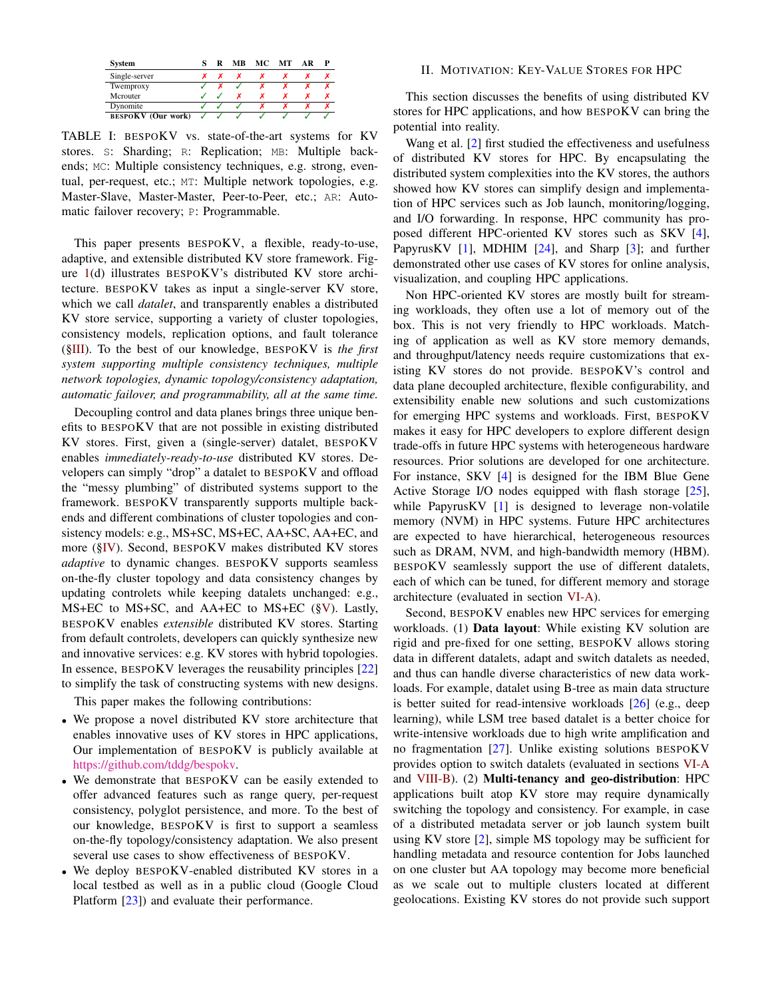<span id="page-1-0"></span>

| <b>System</b>             | R | MR | MС | MТ | ΑR |  |
|---------------------------|---|----|----|----|----|--|
| Single-server             |   |    |    |    |    |  |
| Twemproxy                 |   |    |    |    |    |  |
| Mcrouter                  |   | x  |    |    |    |  |
| Dynomite                  |   |    |    |    |    |  |
| <b>BESPOKV</b> (Our work) |   |    |    |    |    |  |

TABLE I: BESPOKV vs. state-of-the-art systems for KV stores. S: Sharding; R: Replication; MB: Multiple backends; MC: Multiple consistency techniques, e.g. strong, eventual, per-request, etc.; MT: Multiple network topologies, e.g. Master-Slave, Master-Master, Peer-to-Peer, etc.; AR: Automatic failover recovery; P: Programmable.

This paper presents BESPOKV, a flexible, ready-to-use, adaptive, and extensible distributed KV store framework. Figure [1\(](#page-0-0)d) illustrates BESPOKV's distributed KV store architecture. BESPOKV takes as input a single-server KV store, which we call *datalet*, and transparently enables a distributed KV store service, supporting a variety of cluster topologies, consistency models, replication options, and fault tolerance ([§III\)](#page-2-0). To the best of our knowledge, BESPOKV is *the first system supporting multiple consistency techniques, multiple network topologies, dynamic topology/consistency adaptation, automatic failover, and programmability, all at the same time.*

Decoupling control and data planes brings three unique benefits to BESPOKV that are not possible in existing distributed KV stores. First, given a (single-server) datalet, BESPOKV enables *immediately-ready-to-use* distributed KV stores. Developers can simply "drop" a datalet to BESPOKV and offload the "messy plumbing" of distributed systems support to the framework. BESPOKV transparently supports multiple backends and different combinations of cluster topologies and consistency models: e.g., MS+SC, MS+EC, AA+SC, AA+EC, and more ([§IV\)](#page-3-0). Second, BESPOKV makes distributed KV stores *adaptive* to dynamic changes. BESPOKV supports seamless on-the-fly cluster topology and data consistency changes by updating controlets while keeping datalets unchanged: e.g., MS+EC to MS+SC, and AA+EC to MS+EC ([§V\)](#page-4-0). Lastly, BESPOKV enables *extensible* distributed KV stores. Starting from default controlets, developers can quickly synthesize new and innovative services: e.g. KV stores with hybrid topologies. In essence, BESPOKV leverages the reusability principles [\[22\]](#page-10-21) to simplify the task of constructing systems with new designs.

This paper makes the following contributions:

- We propose a novel distributed KV store architecture that enables innovative uses of KV stores in HPC applications, Our implementation of BESPOKV is publicly available at [https://github.com/tddg/bespokv.](https://github.com/tddg/bespokv)
- We demonstrate that BESPOKV can be easily extended to offer advanced features such as range query, per-request consistency, polyglot persistence, and more. To the best of our knowledge, BESPOKV is first to support a seamless on-the-fly topology/consistency adaptation. We also present several use cases to show effectiveness of BESPOKV.
- We deploy BESPOKV-enabled distributed KV stores in a local testbed as well as in a public cloud (Google Cloud Platform [\[23\]](#page-10-22)) and evaluate their performance.

### II. MOTIVATION: KEY-VALUE STORES FOR HPC

This section discusses the benefits of using distributed KV stores for HPC applications, and how BESPOKV can bring the potential into reality.

Wang et al. [\[2\]](#page-10-1) first studied the effectiveness and usefulness of distributed KV stores for HPC. By encapsulating the distributed system complexities into the KV stores, the authors showed how KV stores can simplify design and implementation of HPC services such as Job launch, monitoring/logging, and I/O forwarding. In response, HPC community has proposed different HPC-oriented KV stores such as SKV [\[4\]](#page-10-3), PapyrusKV [\[1\]](#page-10-0), MDHIM [\[24\]](#page-10-23), and Sharp [\[3\]](#page-10-2); and further demonstrated other use cases of KV stores for online analysis, visualization, and coupling HPC applications.

Non HPC-oriented KV stores are mostly built for streaming workloads, they often use a lot of memory out of the box. This is not very friendly to HPC workloads. Matching of application as well as KV store memory demands, and throughput/latency needs require customizations that existing KV stores do not provide. BESPOKV's control and data plane decoupled architecture, flexible configurability, and extensibility enable new solutions and such customizations for emerging HPC systems and workloads. First, BESPOKV makes it easy for HPC developers to explore different design trade-offs in future HPC systems with heterogeneous hardware resources. Prior solutions are developed for one architecture. For instance, SKV [\[4\]](#page-10-3) is designed for the IBM Blue Gene Active Storage I/O nodes equipped with flash storage [\[25\]](#page-10-24), while PapyrusKV [\[1\]](#page-10-0) is designed to leverage non-volatile memory (NVM) in HPC systems. Future HPC architectures are expected to have hierarchical, heterogeneous resources such as DRAM, NVM, and high-bandwidth memory (HBM). BESPOKV seamlessly support the use of different datalets, each of which can be tuned, for different memory and storage architecture (evaluated in section [VI-A\)](#page-5-0).

Second, BESPOKV enables new HPC services for emerging workloads. (1) Data layout: While existing KV solution are rigid and pre-fixed for one setting, BESPOKV allows storing data in different datalets, adapt and switch datalets as needed, and thus can handle diverse characteristics of new data workloads. For example, datalet using B-tree as main data structure is better suited for read-intensive workloads [\[26\]](#page-10-25) (e.g., deep learning), while LSM tree based datalet is a better choice for write-intensive workloads due to high write amplification and no fragmentation [\[27\]](#page-10-26). Unlike existing solutions BESPOKV provides option to switch datalets (evaluated in sections [VI-A](#page-5-0) and [VIII-B\)](#page-7-0). (2) Multi-tenancy and geo-distribution: HPC applications built atop KV store may require dynamically switching the topology and consistency. For example, in case of a distributed metadata server or job launch system built using KV store [\[2\]](#page-10-1), simple MS topology may be sufficient for handling metadata and resource contention for Jobs launched on one cluster but AA topology may become more beneficial as we scale out to multiple clusters located at different geolocations. Existing KV stores do not provide such support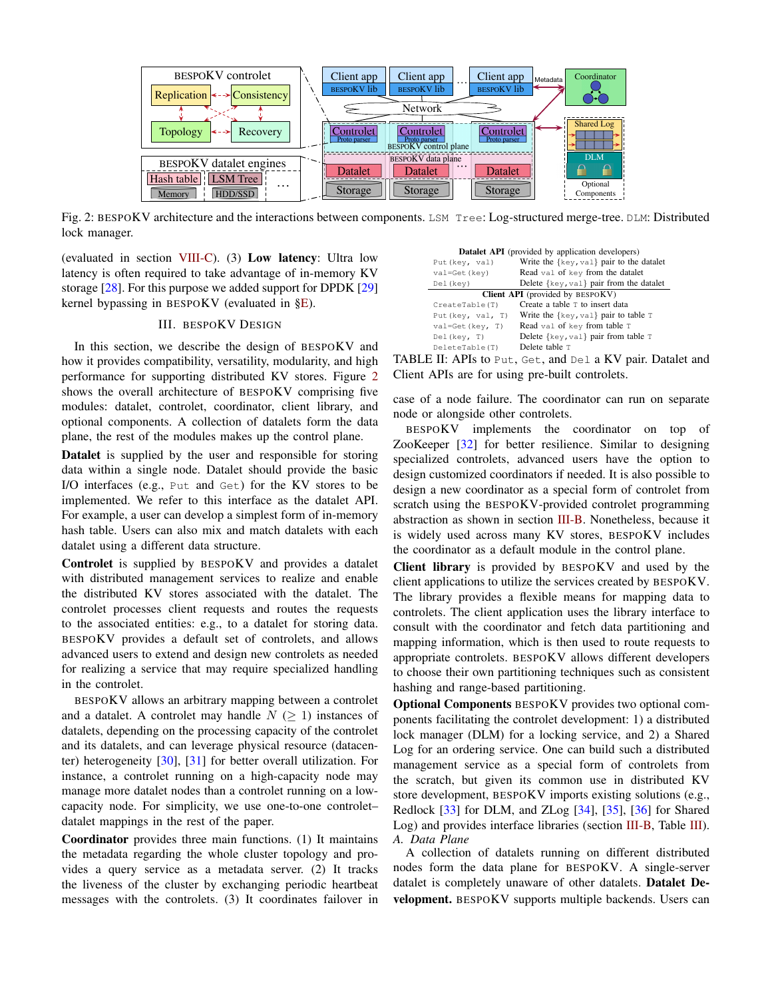<span id="page-2-1"></span>

Fig. 2: BESPOKV architecture and the interactions between components. LSM Tree: Log-structured merge-tree. DLM: Distributed lock manager.

(evaluated in section [VIII-C\)](#page-8-0). (3) Low latency: Ultra low latency is often required to take advantage of in-memory KV storage [\[28\]](#page-10-27). For this purpose we added support for DPDK [\[29\]](#page-10-28) kernel bypassing in BESPOKV (evaluated in [§E\)](#page-15-0).

# III. BESPOKV DESIGN

<span id="page-2-0"></span>In this section, we describe the design of BESPOKV and how it provides compatibility, versatility, modularity, and high performance for supporting distributed KV stores. Figure [2](#page-2-1) shows the overall architecture of BESPOKV comprising five modules: datalet, controlet, coordinator, client library, and optional components. A collection of datalets form the data plane, the rest of the modules makes up the control plane.

Datalet is supplied by the user and responsible for storing data within a single node. Datalet should provide the basic I/O interfaces (e.g., Put and Get) for the KV stores to be implemented. We refer to this interface as the datalet API. For example, a user can develop a simplest form of in-memory hash table. Users can also mix and match datalets with each datalet using a different data structure.

Controlet is supplied by BESPOKV and provides a datalet with distributed management services to realize and enable the distributed KV stores associated with the datalet. The controlet processes client requests and routes the requests to the associated entities: e.g., to a datalet for storing data. BESPOKV provides a default set of controlets, and allows advanced users to extend and design new controlets as needed for realizing a service that may require specialized handling in the controlet.

BESPOKV allows an arbitrary mapping between a controlet and a datalet. A controlet may handle  $N \geq 1$ ) instances of datalets, depending on the processing capacity of the controlet and its datalets, and can leverage physical resource (datacenter) heterogeneity [\[30\]](#page-10-29), [\[31\]](#page-10-30) for better overall utilization. For instance, a controlet running on a high-capacity node may manage more datalet nodes than a controlet running on a lowcapacity node. For simplicity, we use one-to-one controlet– datalet mappings in the rest of the paper.

Coordinator provides three main functions. (1) It maintains the metadata regarding the whole cluster topology and provides a query service as a metadata server. (2) It tracks the liveness of the cluster by exchanging periodic heartbeat messages with the controlets. (3) It coordinates failover in

<span id="page-2-2"></span>

| <b>Datalet API</b> (provided by application developers) |                     |                                              |  |
|---------------------------------------------------------|---------------------|----------------------------------------------|--|
|                                                         | Put (key, val)      | Write the $\{key, val\}$ pair to the datalet |  |
|                                                         | val=Get (key)       | Read val of key from the datalet             |  |
|                                                         | Del(key)            | Delete $\{key, val\}$ pair from the datalet  |  |
| Client API (provided by BESPOKV)                        |                     |                                              |  |
|                                                         | CreateTable(T)      | Create a table $\tau$ to insert data         |  |
|                                                         | Put (key, val, T)   | Write the $\{key, val\}$ pair to table T     |  |
|                                                         | $val = Get(key, T)$ | Read val of key from table T                 |  |
|                                                         | Del(key, T)         | Delete $\{key, val\}$ pair from table T      |  |
|                                                         | DeleteTable(T)      | Delete table T                               |  |

TABLE II: APIs to Put, Get, and Del a KV pair. Datalet and Client APIs are for using pre-built controlets.

case of a node failure. The coordinator can run on separate node or alongside other controlets.

BESPOKV implements the coordinator on top of ZooKeeper [\[32\]](#page-10-31) for better resilience. Similar to designing specialized controlets, advanced users have the option to design customized coordinators if needed. It is also possible to design a new coordinator as a special form of controlet from scratch using the BESPOKV-provided controlet programming abstraction as shown in section [III-B.](#page-3-1) Nonetheless, because it is widely used across many KV stores, BESPOKV includes the coordinator as a default module in the control plane.

Client library is provided by BESPOKV and used by the client applications to utilize the services created by BESPOKV. The library provides a flexible means for mapping data to controlets. The client application uses the library interface to consult with the coordinator and fetch data partitioning and mapping information, which is then used to route requests to appropriate controlets. BESPOKV allows different developers to choose their own partitioning techniques such as consistent hashing and range-based partitioning.

Optional Components BESPOKV provides two optional components facilitating the controlet development: 1) a distributed lock manager (DLM) for a locking service, and 2) a Shared Log for an ordering service. One can build such a distributed management service as a special form of controlets from the scratch, but given its common use in distributed KV store development, BESPOKV imports existing solutions (e.g., Redlock [\[33\]](#page-10-32) for DLM, and ZLog [\[34\]](#page-10-33), [\[35\]](#page-10-34), [\[36\]](#page-10-35) for Shared Log) and provides interface libraries (section [III-B,](#page-3-1) Table [III\)](#page-3-2). *A. Data Plane*

A collection of datalets running on different distributed nodes form the data plane for BESPOKV. A single-server datalet is completely unaware of other datalets. Datalet Development. BESPOKV supports multiple backends. Users can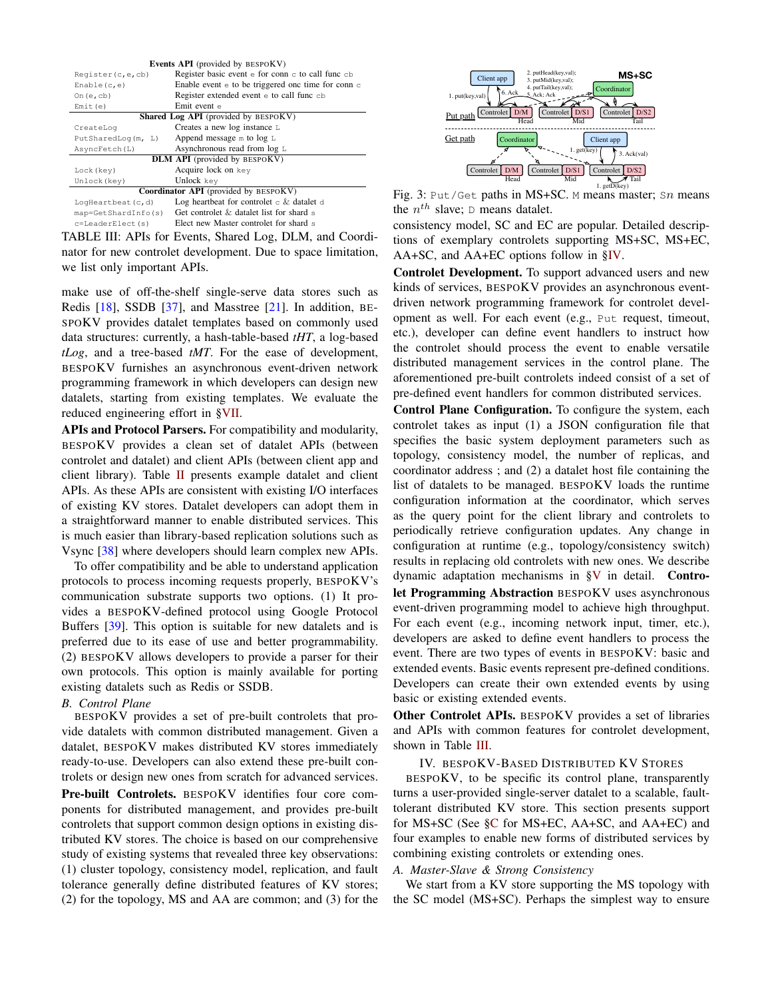<span id="page-3-2"></span>

| <b>Events API</b> (provided by BESPOKV)                                 |                                                            |  |
|-------------------------------------------------------------------------|------------------------------------------------------------|--|
| Register basic event e for conn c to call func cb<br>Required(c, e, cb) |                                                            |  |
| Enable $(c, e)$                                                         | Enable event $\in$ to be triggered one time for conn $\in$ |  |
| On $(e, cb)$                                                            | Register extended event e to call func cb                  |  |
| Emit(e)                                                                 | Emit event $\in$                                           |  |
| Shared Log API (provided by BESPOKV)                                    |                                                            |  |
| CreateLog                                                               | Creates a new log instance L                               |  |
| PutSharedLog(m, L)                                                      | Append message m to log L                                  |  |
| AsyncFetch(L)                                                           | Asynchronous read from log L                               |  |
| <b>DLM API</b> (provided by BESPOKV)                                    |                                                            |  |
| Lock (key)                                                              | Acquire lock on key                                        |  |
| Unlock (key)                                                            | Unlock key                                                 |  |
| <b>Coordinator API</b> (provided by BESPOKV)                            |                                                            |  |
| $LogHeartbeat$ $(c, d)$                                                 | Log heartbeat for controlet $\in \&$ datalet d             |  |
| map=GetShardInfo(s)                                                     | Get controlet $\&$ datalet list for shard s                |  |
| Elect new Master controlet for shard s<br>c=LeaderElect(s)              |                                                            |  |

TABLE III: APIs for Events, Shared Log, DLM, and Coordinator for new controlet development. Due to space limitation, we list only important APIs.

make use of off-the-shelf single-serve data stores such as Redis [\[18\]](#page-10-17), SSDB [\[37\]](#page-10-36), and Masstree [\[21\]](#page-10-20). In addition, BE-SPOKV provides datalet templates based on commonly used data structures: currently, a hash-table-based *tHT*, a log-based *tLog*, and a tree-based *tMT*. For the ease of development, BESPOKV furnishes an asynchronous event-driven network programming framework in which developers can design new datalets, starting from existing templates. We evaluate the reduced engineering effort in [§VII.](#page-6-0)

APIs and Protocol Parsers. For compatibility and modularity, BESPOKV provides a clean set of datalet APIs (between controlet and datalet) and client APIs (between client app and client library). Table [II](#page-2-2) presents example datalet and client APIs. As these APIs are consistent with existing I/O interfaces of existing KV stores. Datalet developers can adopt them in a straightforward manner to enable distributed services. This is much easier than library-based replication solutions such as Vsync [\[38\]](#page-10-37) where developers should learn complex new APIs.

To offer compatibility and be able to understand application protocols to process incoming requests properly, BESPOKV's communication substrate supports two options. (1) It provides a BESPOKV-defined protocol using Google Protocol Buffers [\[39\]](#page-10-38). This option is suitable for new datalets and is preferred due to its ease of use and better programmability. (2) BESPOKV allows developers to provide a parser for their own protocols. This option is mainly available for porting existing datalets such as Redis or SSDB.

# <span id="page-3-1"></span>*B. Control Plane*

BESPOKV provides a set of pre-built controlets that provide datalets with common distributed management. Given a datalet, BESPOKV makes distributed KV stores immediately ready-to-use. Developers can also extend these pre-built controlets or design new ones from scratch for advanced services.

Pre-built Controlets. BESPOKV identifies four core components for distributed management, and provides pre-built controlets that support common design options in existing distributed KV stores. The choice is based on our comprehensive study of existing systems that revealed three key observations: (1) cluster topology, consistency model, replication, and fault tolerance generally define distributed features of KV stores; (2) for the topology, MS and AA are common; and (3) for the

<span id="page-3-3"></span>

Fig. 3: Put/Get paths in MS+SC. M means master; Sn means the  $n^{th}$  slave;  $\Box$  means datalet.

consistency model, SC and EC are popular. Detailed descriptions of exemplary controlets supporting MS+SC, MS+EC, AA+SC, and AA+EC options follow in [§IV.](#page-3-0)

Controlet Development. To support advanced users and new kinds of services, BESPOKV provides an asynchronous eventdriven network programming framework for controlet development as well. For each event (e.g., Put request, timeout, etc.), developer can define event handlers to instruct how the controlet should process the event to enable versatile distributed management services in the control plane. The aforementioned pre-built controlets indeed consist of a set of pre-defined event handlers for common distributed services.

Control Plane Configuration. To configure the system, each controlet takes as input (1) a JSON configuration file that specifies the basic system deployment parameters such as topology, consistency model, the number of replicas, and coordinator address ; and (2) a datalet host file containing the list of datalets to be managed. BESPOKV loads the runtime configuration information at the coordinator, which serves as the query point for the client library and controlets to periodically retrieve configuration updates. Any change in configuration at runtime (e.g., topology/consistency switch) results in replacing old controlets with new ones. We describe dynamic adaptation mechanisms in [§V](#page-4-0) in detail. Controlet Programming Abstraction BESPOKV uses asynchronous event-driven programming model to achieve high throughput. For each event (e.g., incoming network input, timer, etc.), developers are asked to define event handlers to process the event. There are two types of events in BESPOKV: basic and extended events. Basic events represent pre-defined conditions. Developers can create their own extended events by using basic or existing extended events.

Other Controlet APIs. BESPOKV provides a set of libraries and APIs with common features for controlet development, shown in Table [III.](#page-3-2)

# IV. BESPOKV-BASED DISTRIBUTED KV STORES

<span id="page-3-0"></span>BESPOKV, to be specific its control plane, transparently turns a user-provided single-server datalet to a scalable, faulttolerant distributed KV store. This section presents support for MS+SC (See [§C](#page-13-0) for MS+EC, AA+SC, and AA+EC) and four examples to enable new forms of distributed services by combining existing controlets or extending ones.

# *A. Master-Slave & Strong Consistency*

We start from a KV store supporting the MS topology with the SC model (MS+SC). Perhaps the simplest way to ensure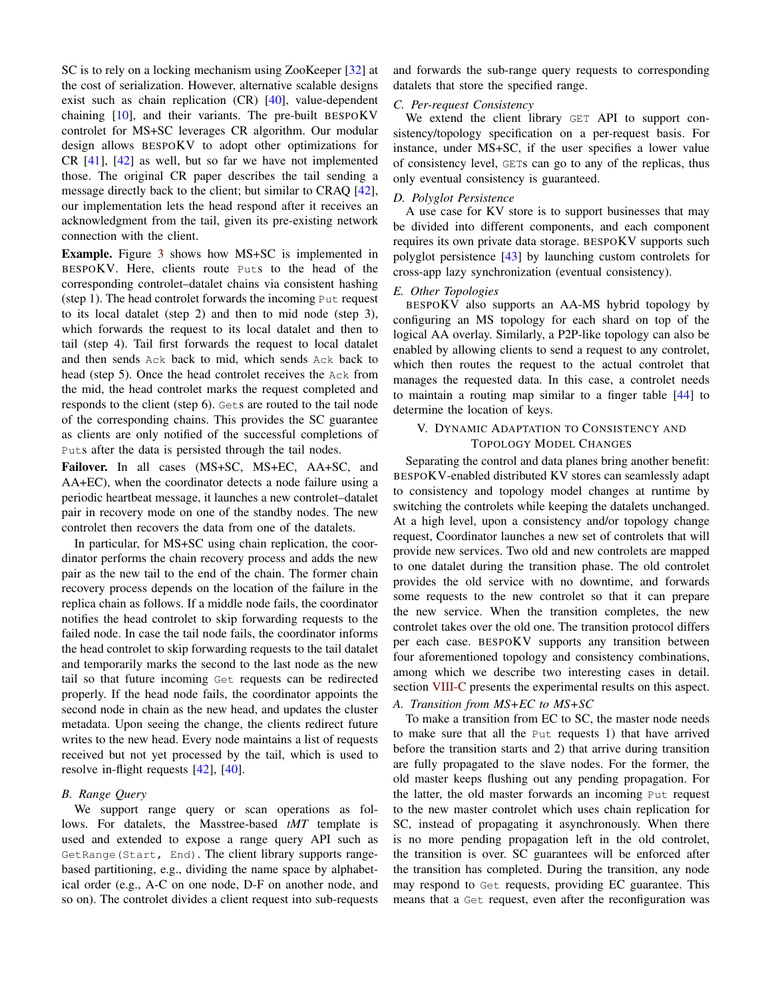SC is to rely on a locking mechanism using ZooKeeper [\[32\]](#page-10-31) at the cost of serialization. However, alternative scalable designs exist such as chain replication  $(CR)$  [\[40\]](#page-10-39), value-dependent chaining [\[10\]](#page-10-9), and their variants. The pre-built BESPOKV controlet for MS+SC leverages CR algorithm. Our modular design allows BESPOKV to adopt other optimizations for CR [\[41\]](#page-10-40), [\[42\]](#page-10-41) as well, but so far we have not implemented those. The original CR paper describes the tail sending a message directly back to the client; but similar to CRAQ [\[42\]](#page-10-41), our implementation lets the head respond after it receives an acknowledgment from the tail, given its pre-existing network connection with the client.

Example. Figure [3](#page-3-3) shows how MS+SC is implemented in BESPOKV. Here, clients route Puts to the head of the corresponding controlet–datalet chains via consistent hashing (step 1). The head controlet forwards the incoming Put request to its local datalet (step 2) and then to mid node (step 3), which forwards the request to its local datalet and then to tail (step 4). Tail first forwards the request to local datalet and then sends Ack back to mid, which sends Ack back to head (step 5). Once the head controlet receives the Ack from the mid, the head controlet marks the request completed and responds to the client (step 6). Gets are routed to the tail node of the corresponding chains. This provides the SC guarantee as clients are only notified of the successful completions of Puts after the data is persisted through the tail nodes.

Failover. In all cases (MS+SC, MS+EC, AA+SC, and AA+EC), when the coordinator detects a node failure using a periodic heartbeat message, it launches a new controlet–datalet pair in recovery mode on one of the standby nodes. The new controlet then recovers the data from one of the datalets.

In particular, for MS+SC using chain replication, the coordinator performs the chain recovery process and adds the new pair as the new tail to the end of the chain. The former chain recovery process depends on the location of the failure in the replica chain as follows. If a middle node fails, the coordinator notifies the head controlet to skip forwarding requests to the failed node. In case the tail node fails, the coordinator informs the head controlet to skip forwarding requests to the tail datalet and temporarily marks the second to the last node as the new tail so that future incoming Get requests can be redirected properly. If the head node fails, the coordinator appoints the second node in chain as the new head, and updates the cluster metadata. Upon seeing the change, the clients redirect future writes to the new head. Every node maintains a list of requests received but not yet processed by the tail, which is used to resolve in-flight requests [\[42\]](#page-10-41), [\[40\]](#page-10-39).

# *B. Range Query*

We support range query or scan operations as follows. For datalets, the Masstree-based *tMT* template is used and extended to expose a range query API such as GetRange(Start, End). The client library supports rangebased partitioning, e.g., dividing the name space by alphabetical order (e.g., A-C on one node, D-F on another node, and so on). The controlet divides a client request into sub-requests and forwards the sub-range query requests to corresponding datalets that store the specified range.

# <span id="page-4-1"></span>*C. Per-request Consistency*

We extend the client library GET API to support consistency/topology specification on a per-request basis. For instance, under MS+SC, if the user specifies a lower value of consistency level, GETs can go to any of the replicas, thus only eventual consistency is guaranteed.

# <span id="page-4-2"></span>*D. Polyglot Persistence*

A use case for KV store is to support businesses that may be divided into different components, and each component requires its own private data storage. BESPOKV supports such polyglot persistence [\[43\]](#page-10-42) by launching custom controlets for cross-app lazy synchronization (eventual consistency).

#### *E. Other Topologies*

BESPOKV also supports an AA-MS hybrid topology by configuring an MS topology for each shard on top of the logical AA overlay. Similarly, a P2P-like topology can also be enabled by allowing clients to send a request to any controlet, which then routes the request to the actual controlet that manages the requested data. In this case, a controlet needs to maintain a routing map similar to a finger table [\[44\]](#page-10-43) to determine the location of keys.

# <span id="page-4-0"></span>V. DYNAMIC ADAPTATION TO CONSISTENCY AND TOPOLOGY MODEL CHANGES

Separating the control and data planes bring another benefit: BESPOKV-enabled distributed KV stores can seamlessly adapt to consistency and topology model changes at runtime by switching the controlets while keeping the datalets unchanged. At a high level, upon a consistency and/or topology change request, Coordinator launches a new set of controlets that will provide new services. Two old and new controlets are mapped to one datalet during the transition phase. The old controlet provides the old service with no downtime, and forwards some requests to the new controlet so that it can prepare the new service. When the transition completes, the new controlet takes over the old one. The transition protocol differs per each case. BESPOKV supports any transition between four aforementioned topology and consistency combinations, among which we describe two interesting cases in detail. section [VIII-C](#page-8-0) presents the experimental results on this aspect. *A. Transition from MS+EC to MS+SC*

To make a transition from EC to SC, the master node needs to make sure that all the Put requests 1) that have arrived before the transition starts and 2) that arrive during transition are fully propagated to the slave nodes. For the former, the old master keeps flushing out any pending propagation. For the latter, the old master forwards an incoming Put request to the new master controlet which uses chain replication for SC, instead of propagating it asynchronously. When there is no more pending propagation left in the old controlet, the transition is over. SC guarantees will be enforced after the transition has completed. During the transition, any node may respond to Get requests, providing EC guarantee. This means that a Get request, even after the reconfiguration was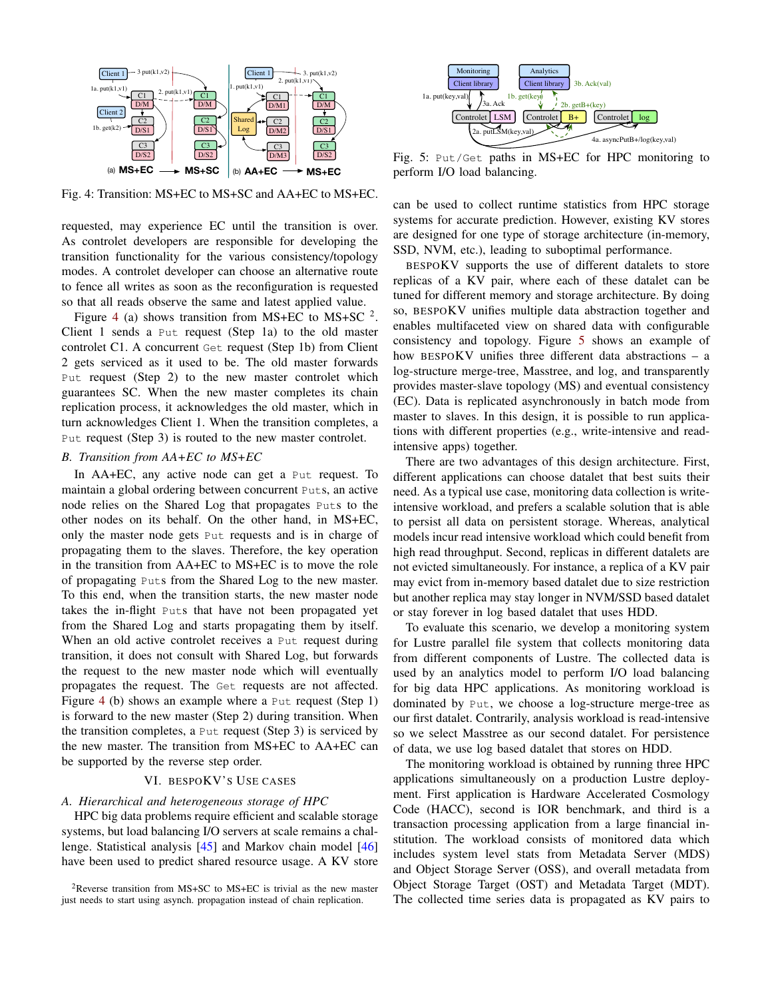<span id="page-5-1"></span>

Fig. 4: Transition: MS+EC to MS+SC and AA+EC to MS+EC.

requested, may experience EC until the transition is over. As controlet developers are responsible for developing the transition functionality for the various consistency/topology modes. A controlet developer can choose an alternative route to fence all writes as soon as the reconfiguration is requested so that all reads observe the same and latest applied value.

Figure [4](#page-5-1) (a) shows transition from MS+EC to MS+SC  $^2$ . Client 1 sends a Put request (Step 1a) to the old master controlet C1. A concurrent Get request (Step 1b) from Client 2 gets serviced as it used to be. The old master forwards Put request (Step 2) to the new master controlet which guarantees SC. When the new master completes its chain replication process, it acknowledges the old master, which in turn acknowledges Client 1. When the transition completes, a Put request (Step 3) is routed to the new master controlet.

# *B. Transition from AA+EC to MS+EC*

In AA+EC, any active node can get a Put request. To maintain a global ordering between concurrent Puts, an active node relies on the Shared Log that propagates Puts to the other nodes on its behalf. On the other hand, in MS+EC, only the master node gets Put requests and is in charge of propagating them to the slaves. Therefore, the key operation in the transition from AA+EC to MS+EC is to move the role of propagating Puts from the Shared Log to the new master. To this end, when the transition starts, the new master node takes the in-flight Puts that have not been propagated yet from the Shared Log and starts propagating them by itself. When an old active controlet receives a Put request during transition, it does not consult with Shared Log, but forwards the request to the new master node which will eventually propagates the request. The Get requests are not affected. Figure [4](#page-5-1) (b) shows an example where a Put request (Step 1) is forward to the new master (Step 2) during transition. When the transition completes, a Put request (Step 3) is serviced by the new master. The transition from MS+EC to AA+EC can be supported by the reverse step order.

#### VI. BESPOKV'S USE CASES

#### <span id="page-5-0"></span>*A. Hierarchical and heterogeneous storage of HPC*

HPC big data problems require efficient and scalable storage systems, but load balancing I/O servers at scale remains a challenge. Statistical analysis [\[45\]](#page-10-44) and Markov chain model [\[46\]](#page-10-45) have been used to predict shared resource usage. A KV store

<sup>2</sup>Reverse transition from MS+SC to MS+EC is trivial as the new master just needs to start using asynch. propagation instead of chain replication.

<span id="page-5-2"></span>

**MS+EC** perform I/O load balancing. Fig. 5: Put/Get paths in MS+EC for HPC monitoring to

can be used to collect runtime statistics from HPC storage systems for accurate prediction. However, existing KV stores are designed for one type of storage architecture (in-memory, SSD, NVM, etc.), leading to suboptimal performance.

BESPOKV supports the use of different datalets to store replicas of a KV pair, where each of these datalet can be tuned for different memory and storage architecture. By doing so, BESPOKV unifies multiple data abstraction together and enables multifaceted view on shared data with configurable consistency and topology. Figure [5](#page-5-2) shows an example of how BESPOKV unifies three different data abstractions – a log-structure merge-tree, Masstree, and log, and transparently provides master-slave topology (MS) and eventual consistency (EC). Data is replicated asynchronously in batch mode from master to slaves. In this design, it is possible to run applications with different properties (e.g., write-intensive and readintensive apps) together.

There are two advantages of this design architecture. First, different applications can choose datalet that best suits their need. As a typical use case, monitoring data collection is writeintensive workload, and prefers a scalable solution that is able to persist all data on persistent storage. Whereas, analytical models incur read intensive workload which could benefit from high read throughput. Second, replicas in different datalets are not evicted simultaneously. For instance, a replica of a KV pair may evict from in-memory based datalet due to size restriction but another replica may stay longer in NVM/SSD based datalet or stay forever in log based datalet that uses HDD.

To evaluate this scenario, we develop a monitoring system for Lustre parallel file system that collects monitoring data from different components of Lustre. The collected data is used by an analytics model to perform I/O load balancing for big data HPC applications. As monitoring workload is dominated by Put, we choose a log-structure merge-tree as our first datalet. Contrarily, analysis workload is read-intensive so we select Masstree as our second datalet. For persistence of data, we use log based datalet that stores on HDD.

The monitoring workload is obtained by running three HPC applications simultaneously on a production Lustre deployment. First application is Hardware Accelerated Cosmology Code (HACC), second is IOR benchmark, and third is a transaction processing application from a large financial institution. The workload consists of monitored data which includes system level stats from Metadata Server (MDS) and Object Storage Server (OSS), and overall metadata from Object Storage Target (OST) and Metadata Target (MDT). The collected time series data is propagated as KV pairs to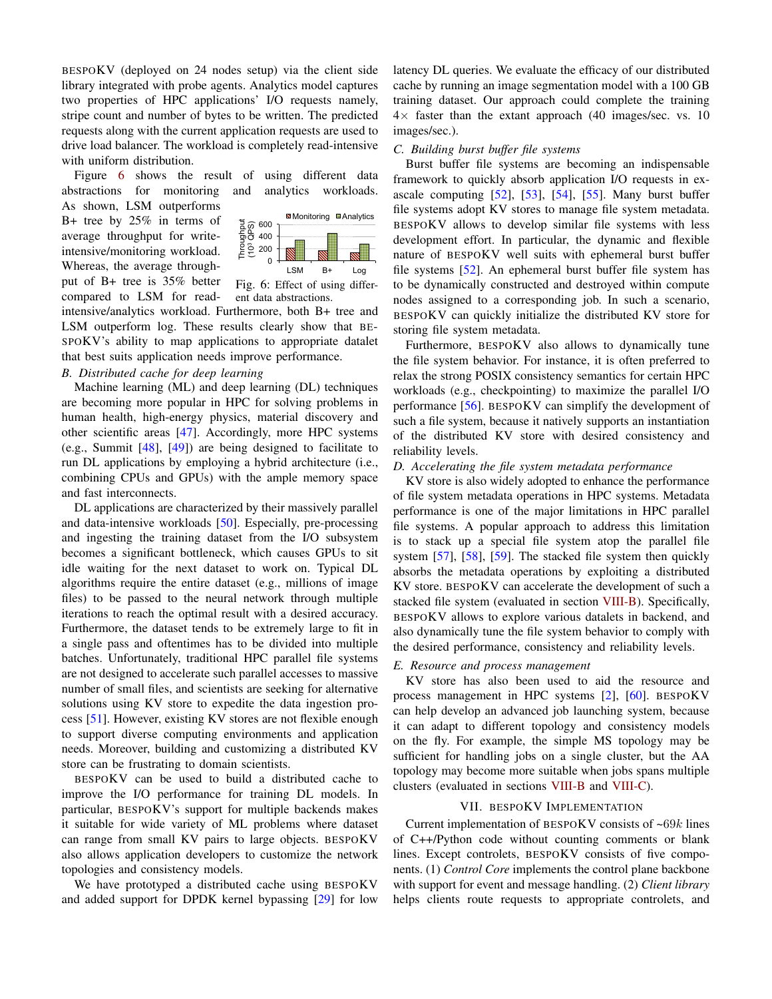BESPOKV (deployed on 24 nodes setup) via the client side library integrated with probe agents. Analytics model captures two properties of HPC applications' I/O requests namely, stripe count and number of bytes to be written. The predicted requests along with the current application requests are used to drive load balancer. The workload is completely read-intensive with uniform distribution.

Figure [6](#page-6-1) shows the result of using different data abstractions for monitoring and analytics workloads.

As shown, LSM outperforms B+ tree by 25% in terms of average throughput for writeintensive/monitoring workload. Whereas, the average throughput of B+ tree is 35% better compared to LSM for read-

<span id="page-6-1"></span>

Fig. 6: Effect of using different data abstractions.

intensive/analytics workload. Furthermore, both B+ tree and LSM outperform log. These results clearly show that BE-SPOKV's ability to map applications to appropriate datalet that best suits application needs improve performance.

# *B. Distributed cache for deep learning*

Machine learning (ML) and deep learning (DL) techniques are becoming more popular in HPC for solving problems in human health, high-energy physics, material discovery and other scientific areas [\[47\]](#page-10-46). Accordingly, more HPC systems (e.g., Summit [\[48\]](#page-10-47), [\[49\]](#page-10-48)) are being designed to facilitate to run DL applications by employing a hybrid architecture (i.e., combining CPUs and GPUs) with the ample memory space and fast interconnects.

DL applications are characterized by their massively parallel and data-intensive workloads [\[50\]](#page-10-49). Especially, pre-processing and ingesting the training dataset from the I/O subsystem becomes a significant bottleneck, which causes GPUs to sit idle waiting for the next dataset to work on. Typical DL algorithms require the entire dataset (e.g., millions of image files) to be passed to the neural network through multiple iterations to reach the optimal result with a desired accuracy. Furthermore, the dataset tends to be extremely large to fit in a single pass and oftentimes has to be divided into multiple batches. Unfortunately, traditional HPC parallel file systems are not designed to accelerate such parallel accesses to massive number of small files, and scientists are seeking for alternative solutions using KV store to expedite the data ingestion process [\[51\]](#page-10-50). However, existing KV stores are not flexible enough to support diverse computing environments and application needs. Moreover, building and customizing a distributed KV store can be frustrating to domain scientists.

BESPOKV can be used to build a distributed cache to improve the I/O performance for training DL models. In particular, BESPOKV's support for multiple backends makes it suitable for wide variety of ML problems where dataset can range from small KV pairs to large objects. BESPOKV also allows application developers to customize the network topologies and consistency models.

We have prototyped a distributed cache using BESPOKV and added support for DPDK kernel bypassing [\[29\]](#page-10-28) for low latency DL queries. We evaluate the efficacy of our distributed cache by running an image segmentation model with a 100 GB training dataset. Our approach could complete the training  $4\times$  faster than the extant approach (40 images/sec. vs. 10 images/sec.).

#### *C. Building burst buffer file systems*

Burst buffer file systems are becoming an indispensable framework to quickly absorb application I/O requests in exascale computing [\[52\]](#page-10-51), [\[53\]](#page-10-52), [\[54\]](#page-10-53), [\[55\]](#page-10-54). Many burst buffer file systems adopt KV stores to manage file system metadata. BESPOKV allows to develop similar file systems with less development effort. In particular, the dynamic and flexible nature of BESPOKV well suits with ephemeral burst buffer file systems [\[52\]](#page-10-51). An ephemeral burst buffer file system has to be dynamically constructed and destroyed within compute nodes assigned to a corresponding job. In such a scenario, BESPOKV can quickly initialize the distributed KV store for storing file system metadata.

Furthermore, BESPOKV also allows to dynamically tune the file system behavior. For instance, it is often preferred to relax the strong POSIX consistency semantics for certain HPC workloads (e.g., checkpointing) to maximize the parallel I/O performance [\[56\]](#page-10-55). BESPOKV can simplify the development of such a file system, because it natively supports an instantiation of the distributed KV store with desired consistency and reliability levels.

# *D. Accelerating the file system metadata performance*

KV store is also widely adopted to enhance the performance of file system metadata operations in HPC systems. Metadata performance is one of the major limitations in HPC parallel file systems. A popular approach to address this limitation is to stack up a special file system atop the parallel file system [\[57\]](#page-10-56), [\[58\]](#page-10-57), [\[59\]](#page-11-0). The stacked file system then quickly absorbs the metadata operations by exploiting a distributed KV store. BESPOKV can accelerate the development of such a stacked file system (evaluated in section [VIII-B\)](#page-7-0). Specifically, BESPOKV allows to explore various datalets in backend, and also dynamically tune the file system behavior to comply with the desired performance, consistency and reliability levels.

# *E. Resource and process management*

KV store has also been used to aid the resource and process management in HPC systems [\[2\]](#page-10-1), [\[60\]](#page-11-1). BESPOKV can help develop an advanced job launching system, because it can adapt to different topology and consistency models on the fly. For example, the simple MS topology may be sufficient for handling jobs on a single cluster, but the AA topology may become more suitable when jobs spans multiple clusters (evaluated in sections [VIII-B](#page-7-0) and [VIII-C\)](#page-8-0).

#### VII. BESPOKV IMPLEMENTATION

<span id="page-6-0"></span>Current implementation of BESPOKV consists of  $~69k$  lines of C++/Python code without counting comments or blank lines. Except controlets, BESPOKV consists of five components. (1) *Control Core* implements the control plane backbone with support for event and message handling. (2) *Client library* helps clients route requests to appropriate controlets, and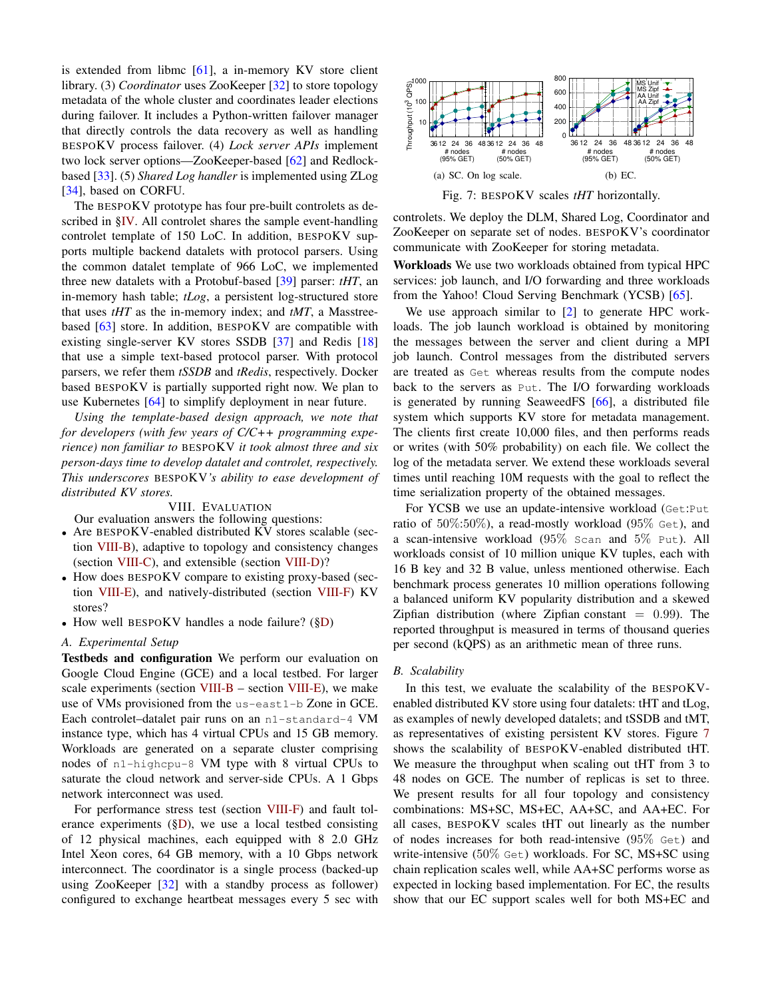is extended from libmc [\[61\]](#page-11-2), a in-memory KV store client library. (3) *Coordinator* uses ZooKeeper [\[32\]](#page-10-31) to store topology metadata of the whole cluster and coordinates leader elections during failover. It includes a Python-written failover manager that directly controls the data recovery as well as handling BESPOKV process failover. (4) *Lock server APIs* implement two lock server options—ZooKeeper-based [\[62\]](#page-11-3) and Redlockbased [\[33\]](#page-10-32). (5) *Shared Log handler* is implemented using ZLog [\[34\]](#page-10-33), based on CORFU.

The BESPOKV prototype has four pre-built controlets as described in [§IV.](#page-3-0) All controlet shares the sample event-handling controlet template of 150 LoC. In addition, BESPOKV supports multiple backend datalets with protocol parsers. Using the common datalet template of 966 LoC, we implemented three new datalets with a Protobuf-based [\[39\]](#page-10-38) parser: *tHT*, an in-memory hash table; *tLog*, a persistent log-structured store that uses *tHT* as the in-memory index; and *tMT*, a Masstreebased [\[63\]](#page-11-4) store. In addition, BESPOKV are compatible with existing single-server KV stores SSDB [\[37\]](#page-10-36) and Redis [\[18\]](#page-10-17) that use a simple text-based protocol parser. With protocol parsers, we refer them *tSSDB* and *tRedis*, respectively. Docker based BESPOKV is partially supported right now. We plan to use Kubernetes [\[64\]](#page-11-5) to simplify deployment in near future. that directly controls the data recovery as well as handling<br>the configured to exchange the configured to exchange the stationary of the configured to exchange the configured to exchange heart of  $\frac{1}{2}$  and Redict-<br>Spa

*Using the template-based design approach, we note that for developers (with few years of C/C++ programming experience) non familiar to* BESPOKV *it took almost three and six person-days time to develop datalet and controlet, respectively. This underscores* BESPOKV*'s ability to ease development of distributed KV stores.*

# VIII. EVALUATION

Our evaluation answers the following questions:

- Are BESPOKV-enabled distributed KV stores scalable (section [VIII-B\)](#page-7-0), adaptive to topology and consistency changes (section [VIII-C\)](#page-8-0), and extensible (section [VIII-D\)](#page-8-1)?
- How does BESPOKV compare to existing proxy-based (section [VIII-E\)](#page-8-2), and natively-distributed (section [VIII-F\)](#page-8-3) KV stores?
- How well BESPOKV handles a node failure? ([§D\)](#page-14-0)

#### *A. Experimental Setup*

Testbeds and configuration We perform our evaluation on Google Cloud Engine (GCE) and a local testbed. For larger scale experiments (section [VIII-B](#page-7-0) – section [VIII-E\)](#page-8-2), we make use of VMs provisioned from the us-east1-b Zone in GCE. Each controlet–datalet pair runs on an n1-standard-4 VM instance type, which has 4 virtual CPUs and 15 GB memory. Workloads are generated on a separate cluster comprising nodes of n1-highcpu-8 VM type with 8 virtual CPUs to saturate the cloud network and server-side CPUs. A 1 Gbps network interconnect was used.

For performance stress test (section [VIII-F\)](#page-8-3) and fault tolerance experiments ([§D\)](#page-14-0), we use a local testbed consisting of 12 physical machines, each equipped with 8 2.0 GHz Intel Xeon cores, 64 GB memory, with a 10 Gbps network interconnect. The coordinator is a single process (backed-up using ZooKeeper  $[32]$  with a standby process as follower)

<span id="page-7-1"></span>

Fig. 7: BESPOKV scales *tHT* horizontally.

controlets. We deploy the DLM, Shared Log, Coordinator and ZooKeeper on separate set of nodes. BESPOKV's coordinator communicate with ZooKeeper for storing metadata.

Workloads We use two workloads obtained from typical HPC services: job launch, and I/O forwarding and three workloads from the Yahoo! Cloud Serving Benchmark (YCSB) [\[65\]](#page-11-6).

We use approach similar to [\[2\]](#page-10-1) to generate HPC workloads. The job launch workload is obtained by monitoring the messages between the server and client during a MPI job launch. Control messages from the distributed servers are treated as Get whereas results from the compute nodes back to the servers as Put. The I/O forwarding workloads is generated by running SeaweedFS [\[66\]](#page-11-7), a distributed file system which supports KV store for metadata management. The clients first create 10,000 files, and then performs reads or writes (with 50% probability) on each file. We collect the log of the metadata server. We extend these workloads several times until reaching 10M requests with the goal to reflect the time serialization property of the obtained messages.

For YCSB we use an update-intensive workload (Get:Put ratio of 50%:50%), a read-mostly workload (95% Get), and a scan-intensive workload (95% Scan and 5% Put). All workloads consist of 10 million unique KV tuples, each with 16 B key and 32 B value, unless mentioned otherwise. Each benchmark process generates 10 million operations following a balanced uniform KV popularity distribution and a skewed Zipfian distribution (where Zipfian constant  $= 0.99$ ). The reported throughput is measured in terms of thousand queries per second (kQPS) as an arithmetic mean of three runs.

#### <span id="page-7-0"></span>*B. Scalability*

In this test, we evaluate the scalability of the BESPOKVenabled distributed KV store using four datalets: tHT and tLog, as examples of newly developed datalets; and tSSDB and tMT, as representatives of existing persistent KV stores. Figure [7](#page-7-1) shows the scalability of BESPOKV-enabled distributed tHT. We measure the throughput when scaling out tHT from 3 to 48 nodes on GCE. The number of replicas is set to three. We present results for all four topology and consistency combinations: MS+SC, MS+EC, AA+SC, and AA+EC. For all cases, BESPOKV scales tHT out linearly as the number of nodes increases for both read-intensive (95% Get) and write-intensive (50% Get) workloads. For SC, MS+SC using chain replication scales well, while AA+SC performs worse as expected in locking based implementation. For EC, the results show that our EC support scales well for both MS+EC and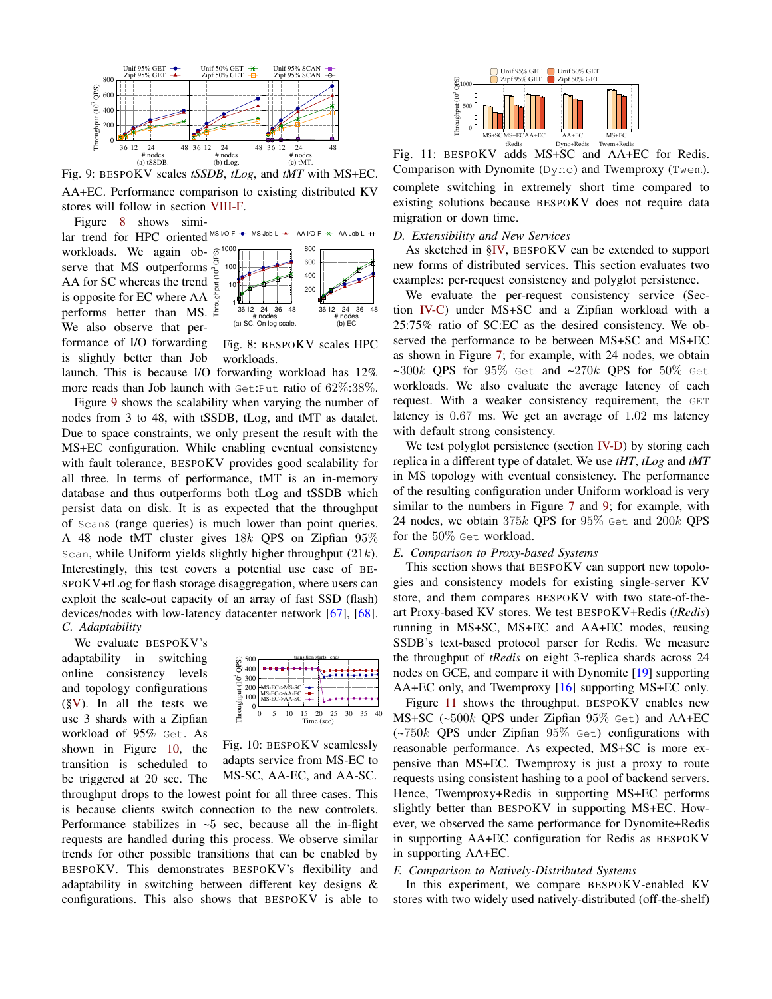<span id="page-8-5"></span>

Fig. 9: BESPOKV scales *tSSDB*, *tLog*, and *tMT* with MS+EC. AA+EC. Performance comparison to existing distributed KV stores will follow in section [VIII-F.](#page-8-3)

Figure [8](#page-8-4) shows simi-

workloads. We again ob-  $\frac{\widehat{\omega}}{\widehat{\omega}}$  serve that MS outperforms  $\frac{\widehat{\omega}}{\widehat{\omega}}$ lar trend for HPC oriented  $^{MS~1/O-F}$   $\rightarrow$  MS Job-L  $\rightarrow$  AA I/O-F  $\ast$  AA Job-L workloads. We again ob-AA for SC whereas the trend is opposite for EC where AA performs better than MS. We also observe that performance of I/O forwarding

<span id="page-8-4"></span>

Fig. 8: BESPOKV scales HPC

workloads. is slightly better than Job launch. This is because I/O forwarding workload has 12%

more reads than Job launch with Get:Put ratio of 62%:38%. Figure [9](#page-8-5) shows the scalability when varying the number of nodes from 3 to 48, with tSSDB, tLog, and tMT as datalet. Due to space constraints, we only present the result with the MS+EC configuration. While enabling eventual consistency with fault tolerance, BESPOKV provides good scalability for all three. In terms of performance, tMT is an in-memory database and thus outperforms both tLog and tSSDB which persist data on disk. It is as expected that the throughput of Scans (range queries) is much lower than point queries. A 48 node tMT cluster gives 18k QPS on Zipfian 95% Scan, while Uniform yields slightly higher throughput  $(21k)$ . Interestingly, this test covers a potential use case of BE-SPOKV+tLog for flash storage disaggregation, where users can exploit the scale-out capacity of an array of fast SSD (flash) devices/nodes with low-latency datacenter network [\[67\]](#page-11-8), [\[68\]](#page-11-9). *C. Adaptability*

<span id="page-8-0"></span>We evaluate BESPOKV's adaptability in switching online consistency levels and topology configurations  $(\S{V})$ . In all the tests we use 3 shards with a Zipfian workload of 95% Get. As shown in Figure [10,](#page-8-6) the transition is scheduled to be triggered at 20 sec. The

<span id="page-8-6"></span>

Fig. 10: BESPOKV seamlessly adapts service from MS-EC to MS-SC, AA-EC, and AA-SC.

throughput drops to the lowest point for all three cases. This is because clients switch connection to the new controlets. Performance stabilizes in  $\sim$  5 sec, because all the in-flight requests are handled during this process. We observe similar trends for other possible transitions that can be enabled by BESPOKV. This demonstrates BESPOKV's flexibility and adaptability in switching between different key designs & configurations. This also shows that BESPOKV is able to

<span id="page-8-7"></span>

Fig. 11: BESPOKV adds MS+SC and AA+EC for Redis. Comparison with Dynomite (Dyno) and Twemproxy (Twem). complete switching in extremely short time compared to existing solutions because BESPOKV does not require data migration or down time.

# <span id="page-8-1"></span>*D. Extensibility and New Services*

As sketched in [§IV,](#page-3-0) BESPOKV can be extended to support new forms of distributed services. This section evaluates two examples: per-request consistency and polyglot persistence.

We evaluate the per-request consistency service (Section [IV-C\)](#page-4-1) under MS+SC and a Zipfian workload with a 25:75% ratio of SC:EC as the desired consistency. We observed the performance to be between MS+SC and MS+EC as shown in Figure [7;](#page-7-1) for example, with 24 nodes, we obtain  $\sim 300k$  QPS for  $95\%$  Get and  $\sim 270k$  QPS for  $50\%$  Get workloads. We also evaluate the average latency of each request. With a weaker consistency requirement, the GET latency is 0.67 ms. We get an average of 1.02 ms latency with default strong consistency.

We test polyglot persistence (section [IV-D\)](#page-4-2) by storing each replica in a different type of datalet. We use *tHT*, *tLog* and *tMT* in MS topology with eventual consistency. The performance of the resulting configuration under Uniform workload is very similar to the numbers in Figure [7](#page-7-1) and [9;](#page-8-5) for example, with 24 nodes, we obtain  $375k$  QPS for  $95\%$  Get and  $200k$  QPS for the 50% Get workload.

#### <span id="page-8-2"></span>*E. Comparison to Proxy-based Systems*

This section shows that BESPOKV can support new topologies and consistency models for existing single-server KV store, and them compares BESPOKV with two state-of-theart Proxy-based KV stores. We test BESPOKV+Redis (*tRedis*) running in MS+SC, MS+EC and AA+EC modes, reusing SSDB's text-based protocol parser for Redis. We measure the throughput of *tRedis* on eight 3-replica shards across 24 nodes on GCE, and compare it with Dynomite [\[19\]](#page-10-18) supporting AA+EC only, and Twemproxy [\[16\]](#page-10-15) supporting MS+EC only.

Figure [11](#page-8-7) shows the throughput. BESPOKV enables new MS+SC (~500k QPS under Zipfian 95% Get) and AA+EC  $(-750k)$  QPS under Zipfian  $95\%$  Get) configurations with reasonable performance. As expected, MS+SC is more expensive than MS+EC. Twemproxy is just a proxy to route requests using consistent hashing to a pool of backend servers. Hence, Twemproxy+Redis in supporting MS+EC performs slightly better than BESPOKV in supporting MS+EC. However, we observed the same performance for Dynomite+Redis in supporting AA+EC configuration for Redis as BESPOKV in supporting AA+EC.

# <span id="page-8-3"></span>*F. Comparison to Natively-Distributed Systems*

In this experiment, we compare BESPOKV-enabled KV stores with two widely used natively-distributed (off-the-shelf)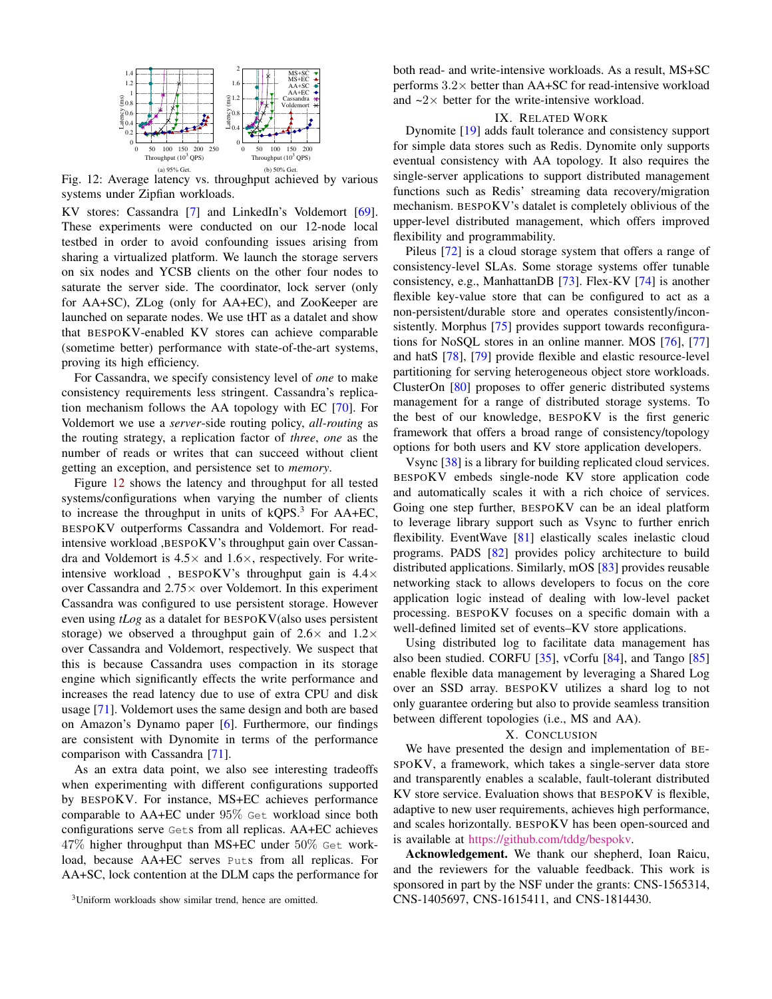<span id="page-9-0"></span>

Fig. 12: Average latency vs. throughput achieved by various systems under Zipfian workloads.

KV stores: Cassandra [\[7\]](#page-10-6) and LinkedIn's Voldemort [\[69\]](#page-11-10). These experiments were conducted on our 12-node local testbed in order to avoid confounding issues arising from sharing a virtualized platform. We launch the storage servers on six nodes and YCSB clients on the other four nodes to saturate the server side. The coordinator, lock server (only for AA+SC), ZLog (only for AA+EC), and ZooKeeper are launched on separate nodes. We use tHT as a datalet and show that BESPOKV-enabled KV stores can achieve comparable (sometime better) performance with state-of-the-art systems, proving its high efficiency.

For Cassandra, we specify consistency level of *one* to make consistency requirements less stringent. Cassandra's replication mechanism follows the AA topology with EC [\[70\]](#page-11-11). For Voldemort we use a *server*-side routing policy, *all-routing* as the routing strategy, a replication factor of *three*, *one* as the number of reads or writes that can succeed without client getting an exception, and persistence set to *memory*.

Figure [12](#page-9-0) shows the latency and throughput for all tested systems/configurations when varying the number of clients to increase the throughput in units of  $kQPS$ .<sup>3</sup> For AA+EC, BESPOKV outperforms Cassandra and Voldemort. For readintensive workload ,BESPOKV's throughput gain over Cassandra and Voldemort is  $4.5\times$  and  $1.6\times$ , respectively. For writeintensive workload, BESPOKV's throughput gain is  $4.4\times$ over Cassandra and  $2.75\times$  over Voldemort. In this experiment Cassandra was configured to use persistent storage. However even using *tLog* as a datalet for BESPOKV(also uses persistent storage) we observed a throughput gain of  $2.6\times$  and  $1.2\times$ over Cassandra and Voldemort, respectively. We suspect that this is because Cassandra uses compaction in its storage engine which significantly effects the write performance and increases the read latency due to use of extra CPU and disk usage [\[71\]](#page-11-12). Voldemort uses the same design and both are based on Amazon's Dynamo paper [\[6\]](#page-10-5). Furthermore, our findings are consistent with Dynomite in terms of the performance comparison with Cassandra [\[71\]](#page-11-12).

As an extra data point, we also see interesting tradeoffs when experimenting with different configurations supported by BESPOKV. For instance, MS+EC achieves performance comparable to AA+EC under 95% Get workload since both configurations serve Gets from all replicas. AA+EC achieves 47% higher throughput than MS+EC under 50% Get workload, because AA+EC serves Puts from all replicas. For AA+SC, lock contention at the DLM caps the performance for

 $3$ Uniform workloads show similar trend, hence are omitted.

both read- and write-intensive workloads. As a result, MS+SC performs  $3.2\times$  better than AA+SC for read-intensive workload and  $\sim$ 2 $\times$  better for the write-intensive workload.

# IX. RELATED WORK

Dynomite [\[19\]](#page-10-18) adds fault tolerance and consistency support for simple data stores such as Redis. Dynomite only supports eventual consistency with AA topology. It also requires the single-server applications to support distributed management functions such as Redis' streaming data recovery/migration mechanism. BESPOKV's datalet is completely oblivious of the upper-level distributed management, which offers improved flexibility and programmability.

Pileus [\[72\]](#page-11-13) is a cloud storage system that offers a range of consistency-level SLAs. Some storage systems offer tunable consistency, e.g., ManhattanDB [\[73\]](#page-11-14). Flex-KV [\[74\]](#page-11-15) is another flexible key-value store that can be configured to act as a non-persistent/durable store and operates consistently/incon-sistently. Morphus [\[75\]](#page-11-16) provides support towards reconfigurations for NoSQL stores in an online manner. MOS [\[76\]](#page-11-17), [\[77\]](#page-11-18) and hatS [\[78\]](#page-11-19), [\[79\]](#page-11-20) provide flexible and elastic resource-level partitioning for serving heterogeneous object store workloads. ClusterOn [\[80\]](#page-11-21) proposes to offer generic distributed systems management for a range of distributed storage systems. To the best of our knowledge, BESPOKV is the first generic framework that offers a broad range of consistency/topology options for both users and KV store application developers.

Vsync [\[38\]](#page-10-37) is a library for building replicated cloud services. BESPOKV embeds single-node KV store application code and automatically scales it with a rich choice of services. Going one step further, BESPOKV can be an ideal platform to leverage library support such as Vsync to further enrich flexibility. EventWave [\[81\]](#page-11-22) elastically scales inelastic cloud programs. PADS [\[82\]](#page-11-23) provides policy architecture to build distributed applications. Similarly, mOS [\[83\]](#page-11-24) provides reusable networking stack to allows developers to focus on the core application logic instead of dealing with low-level packet processing. BESPOKV focuses on a specific domain with a well-defined limited set of events–KV store applications.

Using distributed log to facilitate data management has also been studied. CORFU [\[35\]](#page-10-34), vCorfu [\[84\]](#page-11-25), and Tango [\[85\]](#page-11-26) enable flexible data management by leveraging a Shared Log over an SSD array. BESPOKV utilizes a shard log to not only guarantee ordering but also to provide seamless transition between different topologies (i.e., MS and AA).

## X. CONCLUSION

We have presented the design and implementation of BE-SPOKV, a framework, which takes a single-server data store and transparently enables a scalable, fault-tolerant distributed KV store service. Evaluation shows that BESPOKV is flexible, adaptive to new user requirements, achieves high performance, and scales horizontally. BESPOKV has been open-sourced and is available at [https://github.com/tddg/bespokv.](https://github.com/tddg/bespokv)

Acknowledgement. We thank our shepherd, Ioan Raicu, and the reviewers for the valuable feedback. This work is sponsored in part by the NSF under the grants: CNS-1565314, CNS-1405697, CNS-1615411, and CNS-1814430.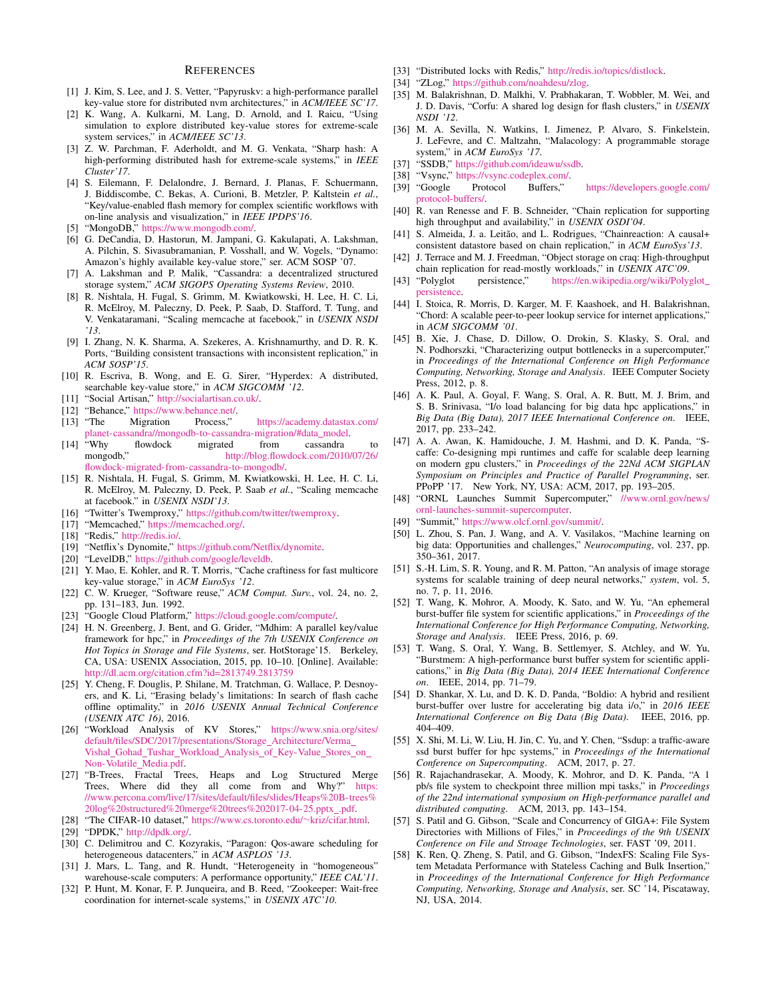#### **REFERENCES**

- <span id="page-10-0"></span>[1] J. Kim, S. Lee, and J. S. Vetter, "Papyruskv: a high-performance parallel key-value store for distributed nvm architectures," in *ACM/IEEE SC'17*.
- <span id="page-10-1"></span>[2] K. Wang, A. Kulkarni, M. Lang, D. Arnold, and I. Raicu, "Using simulation to explore distributed key-value stores for extreme-scale system services," in *ACM/IEEE SC'13*.
- <span id="page-10-2"></span>[3] Z. W. Parchman, F. Aderholdt, and M. G. Venkata, "Sharp hash: A high-performing distributed hash for extreme-scale systems," in *IEEE Cluster'17*.
- <span id="page-10-3"></span>[4] S. Eilemann, F. Delalondre, J. Bernard, J. Planas, F. Schuermann, J. Biddiscombe, C. Bekas, A. Curioni, B. Metzler, P. Kaltstein *et al.*, "Key/value-enabled flash memory for complex scientific workflows with on-line analysis and visualization," in *IEEE IPDPS'16*.
- <span id="page-10-4"></span>[5] "MongoDB," [https://www.mongodb.com/.](https://www.mongodb.com/)
- <span id="page-10-5"></span>[6] G. DeCandia, D. Hastorun, M. Jampani, G. Kakulapati, A. Lakshman, A. Pilchin, S. Sivasubramanian, P. Vosshall, and W. Vogels, "Dynamo: Amazon's highly available key-value store," ser. ACM SOSP '07.
- <span id="page-10-6"></span>[7] A. Lakshman and P. Malik, "Cassandra: a decentralized structured storage system," *ACM SIGOPS Operating Systems Review*, 2010.
- <span id="page-10-7"></span>[8] R. Nishtala, H. Fugal, S. Grimm, M. Kwiatkowski, H. Lee, H. C. Li, R. McElroy, M. Paleczny, D. Peek, P. Saab, D. Stafford, T. Tung, and V. Venkataramani, "Scaling memcache at facebook," in *USENIX NSDI '13*.
- <span id="page-10-8"></span>[9] I. Zhang, N. K. Sharma, A. Szekeres, A. Krishnamurthy, and D. R. K. Ports, "Building consistent transactions with inconsistent replication," in *ACM SOSP'15*.
- <span id="page-10-9"></span>[10] R. Escriva, B. Wong, and E. G. Sirer, "Hyperdex: A distributed, searchable key-value store," in *ACM SIGCOMM '12*.
- <span id="page-10-10"></span>[11] "Social Artisan," [http://socialartisan.co.uk/.](http://socialartisan.co.uk/)
- <span id="page-10-11"></span>[12] "Behance," [https://www.behance.net/.](https://www.behance.net/)
- <span id="page-10-12"></span>[13] "The Migration Process," [https://academy.datastax.com/](https://academy.datastax.com/planet-cassandra//mongodb-to-cassandra-migration/#data_model) [planet-cassandra//mongodb-to-cassandra-migration/#data](https://academy.datastax.com/planet-cassandra//mongodb-to-cassandra-migration/#data_model) model.
- <span id="page-10-13"></span>[14] "Why flowdock migrated from cassandra to mongodb," http://blog.flowdock.com/2010/07/26/ [http://blog.flowdock.com/2010/07/26/](http://blog.flowdock.com/2010/07/26/flowdock-migrated-from-cassandra-to-mongodb/) [flowdock-migrated-from-cassandra-to-mongodb/.](http://blog.flowdock.com/2010/07/26/flowdock-migrated-from-cassandra-to-mongodb/)
- <span id="page-10-14"></span>[15] R. Nishtala, H. Fugal, S. Grimm, M. Kwiatkowski, H. Lee, H. C. Li, R. McElroy, M. Paleczny, D. Peek, P. Saab *et al.*, "Scaling memcache at facebook." in *USENIX NSDI'13*.
- <span id="page-10-15"></span>[16] "Twitter's Twemproxy," [https://github.com/twitter/twemproxy.](https://github.com/twitter/twemproxy)
- <span id="page-10-16"></span>[17] "Memcached," [https://memcached.org/.](https://memcached.org/)
- <span id="page-10-17"></span>[18] "Redis," [http://redis.io/.](http://redis.io/)
- <span id="page-10-18"></span>[19] "Netflix's Dynomite," [https://github.com/Netflix/dynomite.](https://github.com/Netflix/dynomite)
- <span id="page-10-19"></span>[20] "LevelDB," [https://github.com/google/leveldb.](https://github.com/google/leveldb)
- <span id="page-10-20"></span>[21] Y. Mao, E. Kohler, and R. T. Morris, "Cache craftiness for fast multicore key-value storage," in *ACM EuroSys '12*.
- <span id="page-10-21"></span>[22] C. W. Krueger, "Software reuse," *ACM Comput. Surv.*, vol. 24, no. 2, pp. 131–183, Jun. 1992.
- <span id="page-10-22"></span>[23] "Google Cloud Platform," [https://cloud.google.com/compute/.](https://cloud.google.com/compute/)
- <span id="page-10-23"></span>[24] H. N. Greenberg, J. Bent, and G. Grider, "Mdhim: A parallel key/value framework for hpc," in *Proceedings of the 7th USENIX Conference on Hot Topics in Storage and File Systems*, ser. HotStorage'15. Berkeley, CA, USA: USENIX Association, 2015, pp. 10–10. [Online]. Available: <http://dl.acm.org/citation.cfm?id=2813749.2813759>
- <span id="page-10-24"></span>[25] Y. Cheng, F. Douglis, P. Shilane, M. Tratchman, G. Wallace, P. Desnoyers, and K. Li, "Erasing belady's limitations: In search of flash cache offline optimality," in *2016 USENIX Annual Technical Conference (USENIX ATC 16)*, 2016.
- <span id="page-10-25"></span>[26] "Workload Analysis of KV Stores," [https://www.snia.org/sites/](https://www.snia.org/sites/default/files/SDC/2017/presentations/Storage_Architecture/Verma_Vishal_Gohad_Tushar_Workload_Analysis_of_Key-Value_Stores_on_Non-Volatile_Media.pdf) [default/files/SDC/2017/presentations/Storage](https://www.snia.org/sites/default/files/SDC/2017/presentations/Storage_Architecture/Verma_Vishal_Gohad_Tushar_Workload_Analysis_of_Key-Value_Stores_on_Non-Volatile_Media.pdf) Architecture/Verma Vishal\_Gohad\_Tushar\_Workload\_Analysis\_of\_[Key-Value](https://www.snia.org/sites/default/files/SDC/2017/presentations/Storage_Architecture/Verma_Vishal_Gohad_Tushar_Workload_Analysis_of_Key-Value_Stores_on_Non-Volatile_Media.pdf)\_Stores\_on\_ [Non-Volatile](https://www.snia.org/sites/default/files/SDC/2017/presentations/Storage_Architecture/Verma_Vishal_Gohad_Tushar_Workload_Analysis_of_Key-Value_Stores_on_Non-Volatile_Media.pdf)\_Media.pdf
- <span id="page-10-26"></span>[27] "B-Trees, Fractal Trees, Heaps and Log Structured Merge Trees, Where did they all come from and Why?" [https:](https://www.percona.com/live/17/sites/default/files/slides/Heaps%20B-trees%20log%20structured%20merge%20trees%202017-04-25.pptx_.pdf) [//www.percona.com/live/17/sites/default/files/slides/Heaps%20B-trees%](https://www.percona.com/live/17/sites/default/files/slides/Heaps%20B-trees%20log%20structured%20merge%20trees%202017-04-25.pptx_.pdf) [20log%20structured%20merge%20trees%202017-04-25.pptx](https://www.percona.com/live/17/sites/default/files/slides/Heaps%20B-trees%20log%20structured%20merge%20trees%202017-04-25.pptx_.pdf) .pdf.
- <span id="page-10-27"></span>[28] "The CIFAR-10 dataset," [https://www.cs.toronto.edu/](https://www.cs.toronto.edu/~kriz/cifar.html)∼kriz/cifar.html.
- <span id="page-10-28"></span>[29] "DPDK," [http://dpdk.org/.](http://dpdk.org/)
- <span id="page-10-29"></span>[30] C. Delimitrou and C. Kozyrakis, "Paragon: Qos-aware scheduling for heterogeneous datacenters," in *ACM ASPLOS '13*.
- <span id="page-10-30"></span>[31] J. Mars, L. Tang, and R. Hundt, "Heterogeneity in "homogeneous" warehouse-scale computers: A performance opportunity," *IEEE CAL'11*.
- <span id="page-10-31"></span>[32] P. Hunt, M. Konar, F. P. Junqueira, and B. Reed, "Zookeeper: Wait-free coordination for internet-scale systems," in *USENIX ATC'10*.
- <span id="page-10-32"></span>[33] "Distributed locks with Redis," [http://redis.io/topics/distlock.](http://redis.io/topics/distlock)
- <span id="page-10-33"></span>[34] "ZLog," [https://github.com/noahdesu/zlog.](https://github.com/noahdesu/zlog)
- <span id="page-10-34"></span>[35] M. Balakrishnan, D. Malkhi, V. Prabhakaran, T. Wobbler, M. Wei, and J. D. Davis, "Corfu: A shared log design for flash clusters," in *USENIX NSDI '12*.
- <span id="page-10-35"></span>[36] M. A. Sevilla, N. Watkins, I. Jimenez, P. Alvaro, S. Finkelstein, J. LeFevre, and C. Maltzahn, "Malacology: A programmable storage system," in *ACM EuroSys '17*.
- <span id="page-10-36"></span>[37] "SSDB," [https://github.com/ideawu/ssdb.](https://github.com/ideawu/ssdb)
- <span id="page-10-37"></span>[38] "Vsync," [https://vsync.codeplex.com/.](https://vsync.codeplex.com/)
- <span id="page-10-38"></span>[39] "Google Protocol Buffers," [https://developers.google.com/](https://developers.google.com/protocol-buffers/) [protocol-buffers/.](https://developers.google.com/protocol-buffers/)
- <span id="page-10-39"></span>[40] R. van Renesse and F. B. Schneider, "Chain replication for supporting high throughput and availability," in *USENIX OSDI'04*.
- <span id="page-10-40"></span>[41] S. Almeida, J. a. Leitão, and L. Rodrigues, "Chainreaction: A causal+ consistent datastore based on chain replication," in *ACM EuroSys'13*.
- <span id="page-10-41"></span>[42] J. Terrace and M. J. Freedman, "Object storage on craq: High-throughput
- <span id="page-10-42"></span>chain replication for read-mostly workloads," in *USENIX ATC'09*.<br>[43] "Polyglot persistence," https://en.wikipedia.org/wiki/Polyg [https://en.wikipedia.org/wiki/Polyglot](https://en.wikipedia.org/wiki/Polyglot_persistence) [persistence.](https://en.wikipedia.org/wiki/Polyglot_persistence)
- <span id="page-10-43"></span>[44] I. Stoica, R. Morris, D. Karger, M. F. Kaashoek, and H. Balakrishnan, "Chord: A scalable peer-to-peer lookup service for internet applications," in *ACM SIGCOMM '01*.
- <span id="page-10-44"></span>[45] B. Xie, J. Chase, D. Dillow, O. Drokin, S. Klasky, S. Oral, and N. Podhorszki, "Characterizing output bottlenecks in a supercomputer," in *Proceedings of the International Conference on High Performance Computing, Networking, Storage and Analysis*. IEEE Computer Society Press, 2012, p. 8.
- <span id="page-10-45"></span>[46] A. K. Paul, A. Goyal, F. Wang, S. Oral, A. R. Butt, M. J. Brim, and S. B. Srinivasa, "I/o load balancing for big data hpc applications," in *Big Data (Big Data), 2017 IEEE International Conference on*. IEEE, 2017, pp. 233–242.
- <span id="page-10-46"></span>[47] A. A. Awan, K. Hamidouche, J. M. Hashmi, and D. K. Panda, "Scaffe: Co-designing mpi runtimes and caffe for scalable deep learning on modern gpu clusters," in *Proceedings of the 22Nd ACM SIGPLAN Symposium on Principles and Practice of Parallel Programming*, ser. PPoPP '17. New York, NY, USA: ACM, 2017, pp. 193–205.
- <span id="page-10-47"></span>[48] "ORNL Launches Summit Supercomputer," [//www.ornl.gov/news/](//www.ornl.gov/news/ornl-launches-summit-supercomputer) [ornl-launches-summit-supercomputer.](//www.ornl.gov/news/ornl-launches-summit-supercomputer)
- <span id="page-10-48"></span>[49] "Summit," [https://www.olcf.ornl.gov/summit/.](https://www.olcf.ornl.gov/summit/)
- <span id="page-10-49"></span>[50] L. Zhou, S. Pan, J. Wang, and A. V. Vasilakos, "Machine learning on big data: Opportunities and challenges," *Neurocomputing*, vol. 237, pp. 350–361, 2017.
- <span id="page-10-50"></span>[51] S.-H. Lim, S. R. Young, and R. M. Patton, "An analysis of image storage systems for scalable training of deep neural networks," *system*, vol. 5, no. 7, p. 11, 2016.
- <span id="page-10-51"></span>[52] T. Wang, K. Mohror, A. Moody, K. Sato, and W. Yu, "An ephemeral burst-buffer file system for scientific applications," in *Proceedings of the International Conference for High Performance Computing, Networking, Storage and Analysis*. IEEE Press, 2016, p. 69.
- <span id="page-10-52"></span>[53] T. Wang, S. Oral, Y. Wang, B. Settlemyer, S. Atchley, and W. Yu, "Burstmem: A high-performance burst buffer system for scientific applications," in *Big Data (Big Data), 2014 IEEE International Conference on*. IEEE, 2014, pp. 71–79.
- <span id="page-10-53"></span>[54] D. Shankar, X. Lu, and D. K. D. Panda, "Boldio: A hybrid and resilient burst-buffer over lustre for accelerating big data i/o," in *2016 IEEE International Conference on Big Data (Big Data)*. IEEE, 2016, pp. 404–409.
- <span id="page-10-54"></span>[55] X. Shi, M. Li, W. Liu, H. Jin, C. Yu, and Y. Chen, "Ssdup: a traffic-aware ssd burst buffer for hpc systems," in *Proceedings of the International Conference on Supercomputing*. ACM, 2017, p. 27.
- <span id="page-10-55"></span>[56] R. Rajachandrasekar, A. Moody, K. Mohror, and D. K. Panda, "A 1 pb/s file system to checkpoint three million mpi tasks," in *Proceedings of the 22nd international symposium on High-performance parallel and distributed computing*. ACM, 2013, pp. 143–154.
- <span id="page-10-56"></span>[57] S. Patil and G. Gibson, "Scale and Concurrency of GIGA+: File System Directories with Millions of Files," in *Proceedings of the 9th USENIX Conference on File and Stroage Technologies*, ser. FAST '09, 2011.
- <span id="page-10-57"></span>[58] K. Ren, Q. Zheng, S. Patil, and G. Gibson, "IndexFS: Scaling File System Metadata Performance with Stateless Caching and Bulk Insertion," in *Proceedings of the International Conference for High Performance Computing, Networking, Storage and Analysis*, ser. SC '14, Piscataway, NJ, USA, 2014.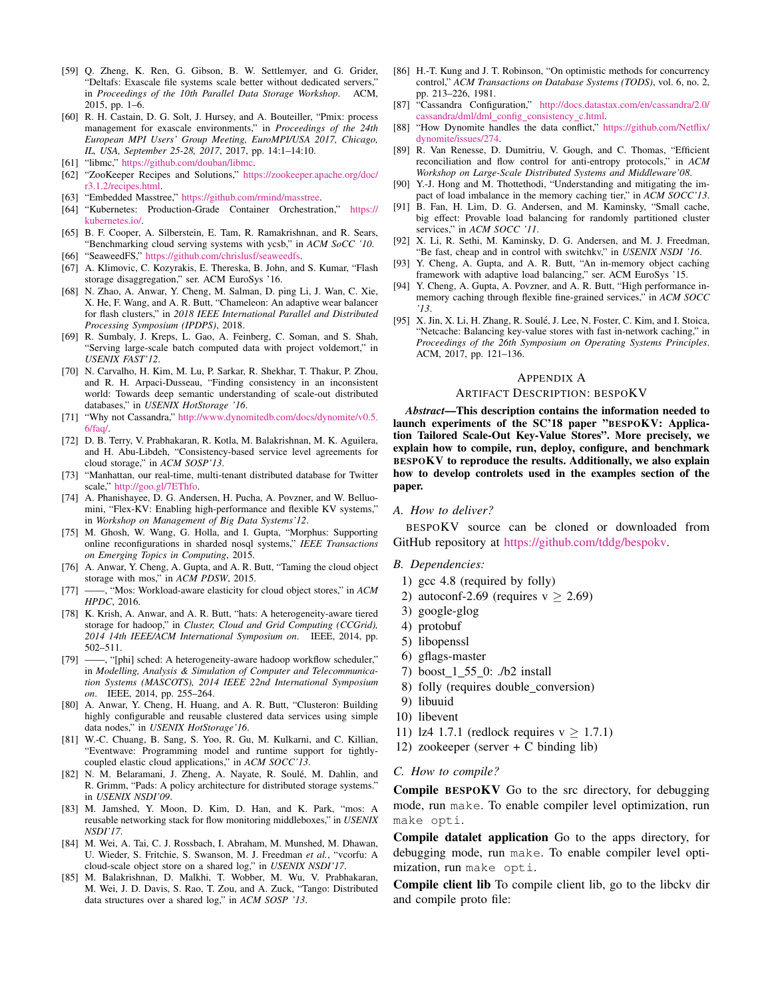- <span id="page-11-0"></span>[59] Q. Zheng, K. Ren, G. Gibson, B. W. Settlemyer, and G. Grider, "Deltafs: Exascale file systems scale better without dedicated servers," in *Proceedings of the 10th Parallel Data Storage Workshop*. ACM, 2015, pp. 1–6.
- <span id="page-11-1"></span>[60] R. H. Castain, D. G. Solt, J. Hursey, and A. Bouteiller, "Pmix: process management for exascale environments," in *Proceedings of the 24th European MPI Users' Group Meeting, EuroMPI/USA 2017, Chicago, IL, USA, September 25-28, 2017*, 2017, pp. 14:1–14:10.
- <span id="page-11-2"></span>[61] "libmc," [https://github.com/douban/libmc.](https://github.com/douban/libmc)
- <span id="page-11-3"></span>[62] "ZooKeeper Recipes and Solutions," [https://zookeeper.apache.org/doc/](https://zookeeper.apache.org/doc/r3.1.2/recipes.html) [r3.1.2/recipes.html.](https://zookeeper.apache.org/doc/r3.1.2/recipes.html)
- <span id="page-11-4"></span>[63] "Embedded Masstree," [https://github.com/rmind/masstree.](https://github.com/rmind/masstree)
- <span id="page-11-5"></span>[64] "Kubernetes: Production-Grade Container Orchestration," [https://](https://kubernetes.io/) [kubernetes.io/.](https://kubernetes.io/)
- <span id="page-11-6"></span>[65] B. F. Cooper, A. Silberstein, E. Tam, R. Ramakrishnan, and R. Sears, "Benchmarking cloud serving systems with ycsb," in *ACM SoCC '10*. [66] "SeaweedFS," [https://github.com/chrislusf/seaweedfs.](https://github.com/chrislusf/seaweedfs)
- <span id="page-11-7"></span>
- <span id="page-11-8"></span>[67] A. Klimovic, C. Kozyrakis, E. Thereska, B. John, and S. Kumar, "Flash storage disaggregation," ser. ACM EuroSys '16.
- <span id="page-11-9"></span>[68] N. Zhao, A. Anwar, Y. Cheng, M. Salman, D. ping Li, J. Wan, C. Xie, X. He, F. Wang, and A. R. Butt, "Chameleon: An adaptive wear balancer for flash clusters," in *2018 IEEE International Parallel and Distributed Processing Symposium (IPDPS)*, 2018.
- <span id="page-11-10"></span>[69] R. Sumbaly, J. Kreps, L. Gao, A. Feinberg, C. Soman, and S. Shah, "Serving large-scale batch computed data with project voldemort," in *USENIX FAST'12*.
- <span id="page-11-11"></span>[70] N. Carvalho, H. Kim, M. Lu, P. Sarkar, R. Shekhar, T. Thakur, P. Zhou, and R. H. Arpaci-Dusseau, "Finding consistency in an inconsistent world: Towards deep semantic understanding of scale-out distributed databases," in *USENIX HotStorage '16*.
- <span id="page-11-12"></span>[71] "Why not Cassandra," [http://www.dynomitedb.com/docs/dynomite/v0.5.](http://www.dynomitedb.com/docs/dynomite/v0.5.6/faq/) [6/faq/.](http://www.dynomitedb.com/docs/dynomite/v0.5.6/faq/)
- <span id="page-11-13"></span>[72] D. B. Terry, V. Prabhakaran, R. Kotla, M. Balakrishnan, M. K. Aguilera, and H. Abu-Libdeh, "Consistency-based service level agreements for cloud storage," in *ACM SOSP'13*.
- <span id="page-11-14"></span>[73] "Manhattan, our real-time, multi-tenant distributed database for Twitter scale," [http://goo.gl/7EThfo.](http://goo.gl/7EThfo)
- <span id="page-11-15"></span>[74] A. Phanishayee, D. G. Andersen, H. Pucha, A. Povzner, and W. Belluomini, "Flex-KV: Enabling high-performance and flexible KV systems," in *Workshop on Management of Big Data Systems'12*.
- <span id="page-11-16"></span>[75] M. Ghosh, W. Wang, G. Holla, and I. Gupta, "Morphus: Supporting online reconfigurations in sharded nosql systems," *IEEE Transactions on Emerging Topics in Computing*, 2015.
- <span id="page-11-17"></span>[76] A. Anwar, Y. Cheng, A. Gupta, and A. R. Butt, "Taming the cloud object storage with mos," in *ACM PDSW*, 2015.
- <span id="page-11-18"></span>[77] ——, "Mos: Workload-aware elasticity for cloud object stores," in *ACM HPDC*, 2016.
- <span id="page-11-19"></span>[78] K. Krish, A. Anwar, and A. R. Butt, "hats: A heterogeneity-aware tiered storage for hadoop," in *Cluster, Cloud and Grid Computing (CCGrid), 2014 14th IEEE/ACM International Symposium on*. IEEE, 2014, pp. 502–511.
- <span id="page-11-20"></span>[79] ——, "[phi] sched: A heterogeneity-aware hadoop workflow scheduler," in *Modelling, Analysis & Simulation of Computer and Telecommunication Systems (MASCOTS), 2014 IEEE 22nd International Symposium on*. IEEE, 2014, pp. 255–264.
- <span id="page-11-21"></span>[80] A. Anwar, Y. Cheng, H. Huang, and A. R. Butt, "Clusteron: Building highly configurable and reusable clustered data services using simple data nodes," in *USENIX HotStorage'16*.
- <span id="page-11-22"></span>[81] W.-C. Chuang, B. Sang, S. Yoo, R. Gu, M. Kulkarni, and C. Killian, "Eventwave: Programming model and runtime support for tightlycoupled elastic cloud applications," in *ACM SOCC'13*.
- <span id="page-11-23"></span>[82] N. M. Belaramani, J. Zheng, A. Nayate, R. Soulé, M. Dahlin, and R. Grimm, "Pads: A policy architecture for distributed storage systems." in *USENIX NSDI'09*.
- <span id="page-11-24"></span>[83] M. Jamshed, Y. Moon, D. Kim, D. Han, and K. Park, "mos: A reusable networking stack for flow monitoring middleboxes," in *USENIX NSDI'17*.
- <span id="page-11-25"></span>[84] M. Wei, A. Tai, C. J. Rossbach, I. Abraham, M. Munshed, M. Dhawan, U. Wieder, S. Fritchie, S. Swanson, M. J. Freedman *et al.*, "vcorfu: A cloud-scale object store on a shared log," in *USENIX NSDI'17*.
- <span id="page-11-26"></span>[85] M. Balakrishnan, D. Malkhi, T. Wobber, M. Wu, V. Prabhakaran, M. Wei, J. D. Davis, S. Rao, T. Zou, and A. Zuck, "Tango: Distributed data structures over a shared log," in *ACM SOSP '13*.
- <span id="page-11-27"></span>[86] H.-T. Kung and J. T. Robinson, "On optimistic methods for concurrency control," *ACM Transactions on Database Systems (TODS)*, vol. 6, no. 2, pp. 213–226, 1981.
- <span id="page-11-28"></span>[87] "Cassandra Configuration," [http://docs.datastax.com/en/cassandra/2.0/](http://docs.datastax.com/en/cassandra/2.0/cassandra/dml/dml_config_consistency_c.html) [cassandra/dml/dml](http://docs.datastax.com/en/cassandra/2.0/cassandra/dml/dml_config_consistency_c.html)\_config\_consistency\_c.html.
- <span id="page-11-29"></span>[88] "How Dynomite handles the data conflict," [https://github.com/Netflix/](https://github.com/Netflix/dynomite/issues/274) [dynomite/issues/274.](https://github.com/Netflix/dynomite/issues/274)
- <span id="page-11-30"></span>[89] R. Van Renesse, D. Dumitriu, V. Gough, and C. Thomas, "Efficient reconciliation and flow control for anti-entropy protocols," in *ACM Workshop on Large-Scale Distributed Systems and Middleware'08*.
- <span id="page-11-31"></span>[90] Y.-J. Hong and M. Thottethodi, "Understanding and mitigating the impact of load imbalance in the memory caching tier," in *ACM SOCC'13*.
- <span id="page-11-32"></span>[91] B. Fan, H. Lim, D. G. Andersen, and M. Kaminsky, "Small cache, big effect: Provable load balancing for randomly partitioned cluster services," in *ACM SOCC '11*.
- <span id="page-11-33"></span>[92] X. Li, R. Sethi, M. Kaminsky, D. G. Andersen, and M. J. Freedman, "Be fast, cheap and in control with switchkv," in *USENIX NSDI '16*.
- <span id="page-11-34"></span>[93] Y. Cheng, A. Gupta, and A. R. Butt, "An in-memory object caching framework with adaptive load balancing," ser. ACM EuroSys '15.
- <span id="page-11-35"></span>[94] Y. Cheng, A. Gupta, A. Povzner, and A. R. Butt, "High performance inmemory caching through flexible fine-grained services," in *ACM SOCC '13*.
- <span id="page-11-36"></span>[95] X. Jin, X. Li, H. Zhang, R. Soulé, J. Lee, N. Foster, C. Kim, and I. Stoica, "Netcache: Balancing key-value stores with fast in-network caching," in *Proceedings of the 26th Symposium on Operating Systems Principles*. ACM, 2017, pp. 121–136.

#### APPENDIX A

#### ARTIFACT DESCRIPTION: BESPOKV

*Abstract*—This description contains the information needed to launch experiments of the SC'18 paper "BESPOKV: Application Tailored Scale-Out Key-Value Stores". More precisely, we explain how to compile, run, deploy, configure, and benchmark BESPOKV to reproduce the results. Additionally, we also explain how to develop controlets used in the examples section of the paper.

### *A. How to deliver?*

BESPOKV source can be cloned or downloaded from GitHub repository at [https://github.com/tddg/bespokv.](https://github.com/tddg/bespokv)

#### *B. Dependencies:*

- 1) gcc 4.8 (required by folly)
- 2) autoconf-2.69 (requires  $v \ge 2.69$ )
- 3) google-glog
- 4) protobuf
- 
- 5) libopenssl
- 6) gflags-master
- 7) boost\_1\_55\_0: ./b2 install
- 8) folly (requires double conversion)
- 9) libuuid
- 10) libevent
- 11) lz4 1.7.1 (redlock requires  $v > 1.7.1$ )
- 12) zookeeper (server + C binding lib)

#### *C. How to compile?*

Compile BESPOKV Go to the src directory, for debugging mode, run make. To enable compiler level optimization, run make opti.

Compile datalet application Go to the apps directory, for debugging mode, run make. To enable compiler level optimization, run make opti.

Compile client lib To compile client lib, go to the libckv dir and compile proto file: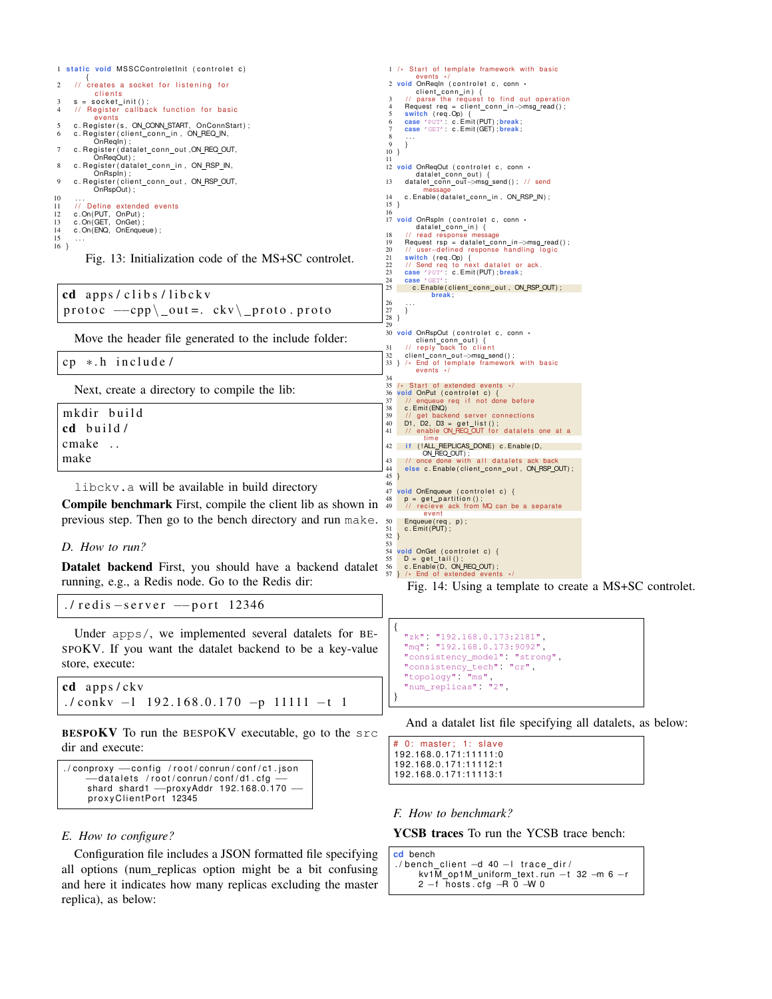<span id="page-12-1"></span><span id="page-12-0"></span>

*E. How to configure?*

replica), as below:

Configuration file includes a JSON formatted file specifying all options (num replicas option might be a bit confusing and here it indicates how many replicas excluding the master *F. How to benchmark?*

YCSB traces To run the YCSB trace bench:

**cd** bench ./bench\_client -d 40 -l trace\_dir/ kv1M\_op1M\_uniform\_text.run -t 32 -m 6 -r 2 −f hosts.cfg −R 0 -W 0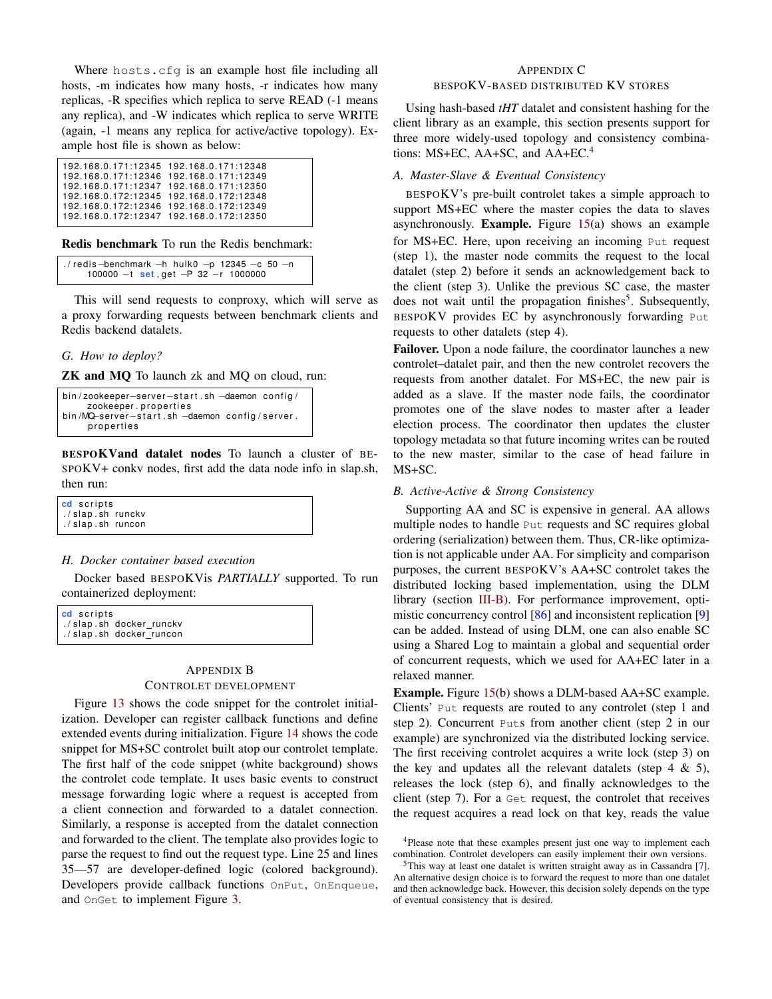Where hosts.cfg is an example host file including all hosts, -m indicates how many hosts, -r indicates how many replicas, -R specifies which replica to serve READ (-1 means any replica), and -W indicates which replica to serve WRITE (again, -1 means any replica for active/active topology). Example host file is shown as below:

| 192.168.0.171:12345 192.168.0.171:12348 |  |
|-----------------------------------------|--|
| 192.168.0.171:12346 192.168.0.171:12349 |  |
| 192.168.0.171:12347 192.168.0.171:12350 |  |
| 192.168.0.172:12345 192.168.0.172:12348 |  |
| 192.168.0.172:12346 192.168.0.172:12349 |  |
| 192.168.0.172:12347 192.168.0.172:12350 |  |

Redis benchmark To run the Redis benchmark:

| ./redis-benchmark $-h$ hulk0 $-p$ 12345 $-c$ 50 $-n$ |  |
|------------------------------------------------------|--|
| 100000 $-t$ set, get $-P$ 32 $-r$ 1000000            |  |

This will send requests to conproxy, which will serve as a proxy forwarding requests between benchmark clients and Redis backend datalets.

# *G. How to deploy?*

ZK and MQ To launch zk and MQ on cloud, run:

| bin/zookeeper-server-start.sh -daemon config/ |
|-----------------------------------------------|
| zookeeper.properties                          |
| bin/MQ-server-start.sh -daemon config/server. |
| properties                                    |

BESPOKVand datalet nodes To launch a cluster of BE-SPOKV+ conkv nodes, first add the data node info in slap.sh, then run:

**cd** scripts ./slap.sh runckv ./slap.sh runcon

#### *H. Docker container based execution*

Docker based BESPOKVis *PARTIALLY* supported. To run containerized deployment:

| cd scripts              |  |
|-------------------------|--|
| ./slap.sh docker runckv |  |
| ./slap.sh docker runcon |  |
|                         |  |

# APPENDIX B CONTROLET DEVELOPMENT

Figure [13](#page-12-0) shows the code snippet for the controlet initialization. Developer can register callback functions and define extended events during initialization. Figure [14](#page-12-1) shows the code snippet for MS+SC controlet built atop our controlet template. The first half of the code snippet (white background) shows the controlet code template. It uses basic events to construct message forwarding logic where a request is accepted from a client connection and forwarded to a datalet connection. Similarly, a response is accepted from the datalet connection and forwarded to the client. The template also provides logic to parse the request to find out the request type. Line 25 and lines 35—57 are developer-defined logic (colored background). Developers provide callback functions OnPut, OnEnqueue, and OnGet to implement Figure [3.](#page-3-3)

# <span id="page-13-0"></span>APPENDIX C BESPOKV-BASED DISTRIBUTED KV STORES

Using hash-based *tHT* datalet and consistent hashing for the client library as an example, this section presents support for three more widely-used topology and consistency combinations: MS+EC, AA+SC, and AA+EC.<sup>4</sup>

# *A. Master-Slave & Eventual Consistency*

BESPOKV's pre-built controlet takes a simple approach to support MS+EC where the master copies the data to slaves asynchronously. **Example.** Figure  $15(a)$  $15(a)$  shows an example for MS+EC. Here, upon receiving an incoming Put request (step 1), the master node commits the request to the local datalet (step 2) before it sends an acknowledgement back to the client (step 3). Unlike the previous SC case, the master does not wait until the propagation finishes<sup>5</sup>. Subsequently, BESPOKV provides EC by asynchronously forwarding Put requests to other datalets (step 4).

Failover. Upon a node failure, the coordinator launches a new controlet–datalet pair, and then the new controlet recovers the requests from another datalet. For MS+EC, the new pair is added as a slave. If the master node fails, the coordinator promotes one of the slave nodes to master after a leader election process. The coordinator then updates the cluster topology metadata so that future incoming writes can be routed to the new master, similar to the case of head failure in MS+SC.

# *B. Active-Active & Strong Consistency*

Supporting AA and SC is expensive in general. AA allows multiple nodes to handle Put requests and SC requires global ordering (serialization) between them. Thus, CR-like optimization is not applicable under AA. For simplicity and comparison purposes, the current BESPOKV's AA+SC controlet takes the distributed locking based implementation, using the DLM library (section [III-B\)](#page-3-1). For performance improvement, optimistic concurrency control [\[86\]](#page-11-27) and inconsistent replication [\[9\]](#page-10-8) can be added. Instead of using DLM, one can also enable SC using a Shared Log to maintain a global and sequential order of concurrent requests, which we used for AA+EC later in a relaxed manner.

Example. Figure [15\(](#page-14-1)b) shows a DLM-based AA+SC example. Clients' Put requests are routed to any controlet (step 1 and step 2). Concurrent Puts from another client (step 2 in our example) are synchronized via the distributed locking service. The first receiving controlet acquires a write lock (step 3) on the key and updates all the relevant datalets (step  $4 \& 5$ ), releases the lock (step 6), and finally acknowledges to the client (step 7). For a Get request, the controlet that receives the request acquires a read lock on that key, reads the value

<sup>&</sup>lt;sup>4</sup>Please note that these examples present just one way to implement each combination. Controlet developers can easily implement their own versions.

 $5$ This way at least one datalet is written straight away as in Cassandra [\[7\]](#page-10-6). An alternative design choice is to forward the request to more than one datalet and then acknowledge back. However, this decision solely depends on the type of eventual consistency that is desired.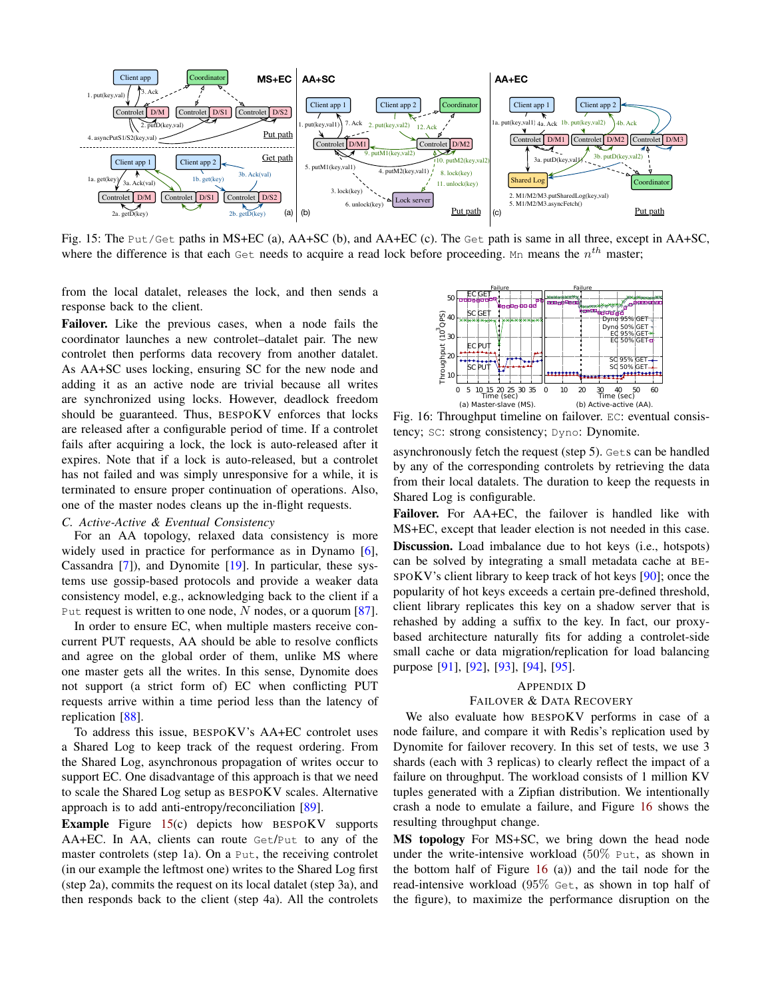<span id="page-14-1"></span>

Fig. 15: The Put/Get paths in MS+EC (a), AA+SC (b), and AA+EC (c). The Get path is same in all three, except in AA+SC, where the difference is that each Get needs to acquire a read lock before proceeding. Mn means the  $n^{th}$  master;

from the local datalet, releases the lock, and then sends a response back to the client.

Failover. Like the previous cases, when a node fails the coordinator launches a new controlet–datalet pair. The new controlet then performs data recovery from another datalet. As AA+SC uses locking, ensuring SC for the new node and adding it as an active node are trivial because all writes are synchronized using locks. However, deadlock freedom should be guaranteed. Thus, BESPOKV enforces that locks are released after a configurable period of time. If a controlet fails after acquiring a lock, the lock is auto-released after it expires. Note that if a lock is auto-released, but a controlet has not failed and was simply unresponsive for a while, it is terminated to ensure proper continuation of operations. Also, one of the master nodes cleans up the in-flight requests.

# *C. Active-Active & Eventual Consistency*

For an AA topology, relaxed data consistency is more widely used in practice for performance as in Dynamo [\[6\]](#page-10-5), Cassandra [\[7\]](#page-10-6)), and Dynomite [\[19\]](#page-10-18). In particular, these systems use gossip-based protocols and provide a weaker data consistency model, e.g., acknowledging back to the client if a Put request is written to one node,  $N$  nodes, or a quorum [\[87\]](#page-11-28).

In order to ensure EC, when multiple masters receive concurrent PUT requests, AA should be able to resolve conflicts and agree on the global order of them, unlike MS where one master gets all the writes. In this sense, Dynomite does not support (a strict form of) EC when conflicting PUT requests arrive within a time period less than the latency of replication [\[88\]](#page-11-29).

To address this issue, BESPOKV's AA+EC controlet uses a Shared Log to keep track of the request ordering. From the Shared Log, asynchronous propagation of writes occur to support EC. One disadvantage of this approach is that we need to scale the Shared Log setup as BESPOKV scales. Alternative approach is to add anti-entropy/reconciliation [\[89\]](#page-11-30).

Example Figure [15\(](#page-14-1)c) depicts how BESPOKV supports AA+EC. In AA, clients can route Get/Put to any of the master controlets (step 1a). On a Put, the receiving controlet (in our example the leftmost one) writes to the Shared Log first (step 2a), commits the request on its local datalet (step 3a), and then responds back to the client (step 4a). All the controlets

<span id="page-14-2"></span>

Fig. 16: Throughput timeline on failover. EC: eventual consistency; SC: strong consistency; Dyno: Dynomite.

asynchronously fetch the request (step 5). Gets can be handled by any of the corresponding controlets by retrieving the data from their local datalets. The duration to keep the requests in Shared Log is configurable.

Failover. For AA+EC, the failover is handled like with MS+EC, except that leader election is not needed in this case. Discussion. Load imbalance due to hot keys (i.e., hotspots) can be solved by integrating a small metadata cache at BE-SPOKV's client library to keep track of hot keys [\[90\]](#page-11-31); once the popularity of hot keys exceeds a certain pre-defined threshold, client library replicates this key on a shadow server that is rehashed by adding a suffix to the key. In fact, our proxybased architecture naturally fits for adding a controlet-side small cache or data migration/replication for load balancing purpose [\[91\]](#page-11-32), [\[92\]](#page-11-33), [\[93\]](#page-11-34), [\[94\]](#page-11-35), [\[95\]](#page-11-36).

# <span id="page-14-0"></span>APPENDIX D

# FAILOVER & DATA RECOVERY

We also evaluate how BESPOKV performs in case of a node failure, and compare it with Redis's replication used by Dynomite for failover recovery. In this set of tests, we use 3 shards (each with 3 replicas) to clearly reflect the impact of a failure on throughput. The workload consists of 1 million KV tuples generated with a Zipfian distribution. We intentionally crash a node to emulate a failure, and Figure [16](#page-14-2) shows the resulting throughput change.

MS topology For MS+SC, we bring down the head node under the write-intensive workload (50% Put, as shown in the bottom half of Figure [16](#page-14-2) (a)) and the tail node for the read-intensive workload (95% Get, as shown in top half of the figure), to maximize the performance disruption on the